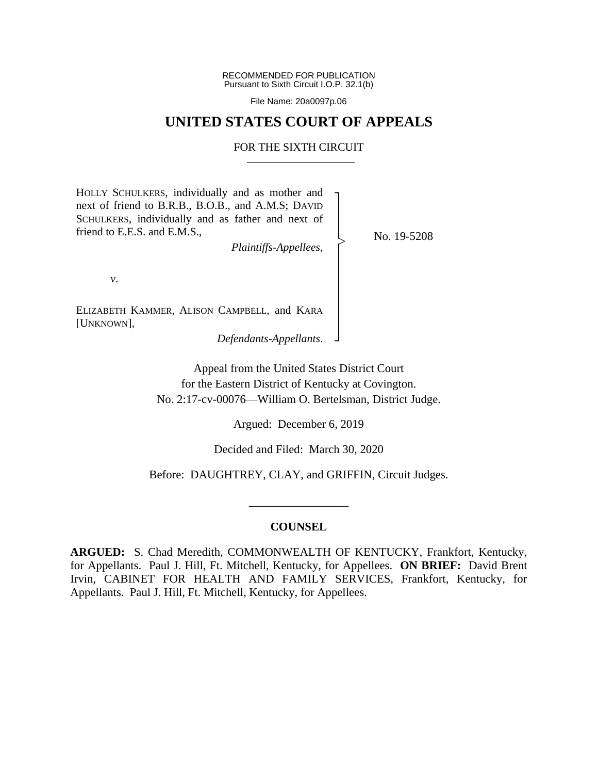RECOMMENDED FOR PUBLICATION Pursuant to Sixth Circuit I.O.P. 32.1(b)

File Name: 20a0097p.06

## **UNITED STATES COURT OF APPEALS**

### FOR THE SIXTH CIRCUIT

┐ │ │ │ │ │ │ │ │ │ │ ┘

|<br>|>

HOLLY SCHULKERS, individually and as mother and next of friend to B.R.B., B.O.B., and A.M.S; DAVID SCHULKERS, individually and as father and next of friend to E.E.S. and E.M.S.,

*Plaintiffs-Appellees*,

No. 19-5208

*v*.

ELIZABETH KAMMER, ALISON CAMPBELL, and KARA [UNKNOWN],

*Defendants-Appellants*.

Appeal from the United States District Court for the Eastern District of Kentucky at Covington. No. 2:17-cv-00076—William O. Bertelsman, District Judge.

Argued: December 6, 2019

Decided and Filed: March 30, 2020

Before: DAUGHTREY, CLAY, and GRIFFIN, Circuit Judges.

\_\_\_\_\_\_\_\_\_\_\_\_\_\_\_\_\_

### **COUNSEL**

**ARGUED:** S. Chad Meredith, COMMONWEALTH OF KENTUCKY, Frankfort, Kentucky, for Appellants. Paul J. Hill, Ft. Mitchell, Kentucky, for Appellees. **ON BRIEF:** David Brent Irvin, CABINET FOR HEALTH AND FAMILY SERVICES, Frankfort, Kentucky, for Appellants. Paul J. Hill, Ft. Mitchell, Kentucky, for Appellees.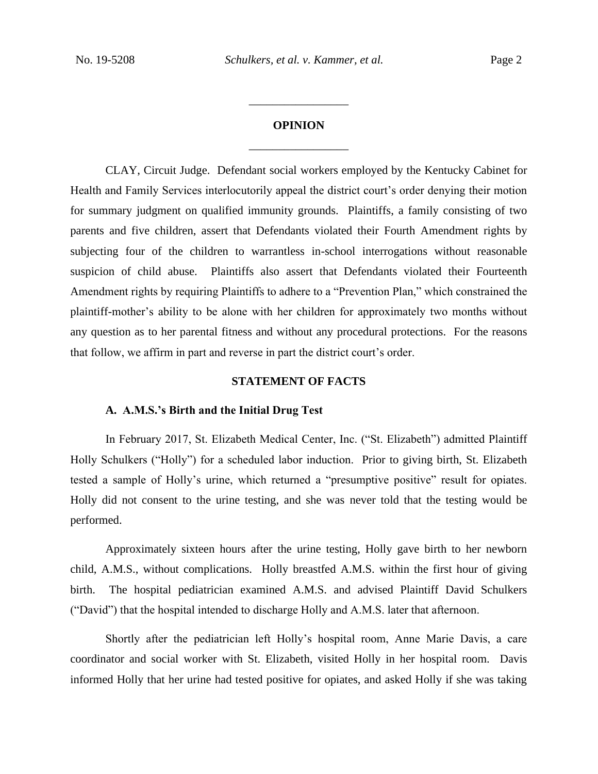# **OPINION** \_\_\_\_\_\_\_\_\_\_\_\_\_\_\_\_\_

\_\_\_\_\_\_\_\_\_\_\_\_\_\_\_\_\_

CLAY, Circuit Judge. Defendant social workers employed by the Kentucky Cabinet for Health and Family Services interlocutorily appeal the district court's order denying their motion for summary judgment on qualified immunity grounds. Plaintiffs, a family consisting of two parents and five children, assert that Defendants violated their Fourth Amendment rights by subjecting four of the children to warrantless in-school interrogations without reasonable suspicion of child abuse. Plaintiffs also assert that Defendants violated their Fourteenth Amendment rights by requiring Plaintiffs to adhere to a "Prevention Plan," which constrained the plaintiff-mother's ability to be alone with her children for approximately two months without any question as to her parental fitness and without any procedural protections. For the reasons that follow, we affirm in part and reverse in part the district court's order.

#### **STATEMENT OF FACTS**

### **A. A.M.S.'s Birth and the Initial Drug Test**

In February 2017, St. Elizabeth Medical Center, Inc. ("St. Elizabeth") admitted Plaintiff Holly Schulkers ("Holly") for a scheduled labor induction. Prior to giving birth, St. Elizabeth tested a sample of Holly's urine, which returned a "presumptive positive" result for opiates. Holly did not consent to the urine testing, and she was never told that the testing would be performed.

Approximately sixteen hours after the urine testing, Holly gave birth to her newborn child, A.M.S., without complications. Holly breastfed A.M.S. within the first hour of giving birth. The hospital pediatrician examined A.M.S. and advised Plaintiff David Schulkers ("David") that the hospital intended to discharge Holly and A.M.S. later that afternoon.

Shortly after the pediatrician left Holly's hospital room, Anne Marie Davis, a care coordinator and social worker with St. Elizabeth, visited Holly in her hospital room. Davis informed Holly that her urine had tested positive for opiates, and asked Holly if she was taking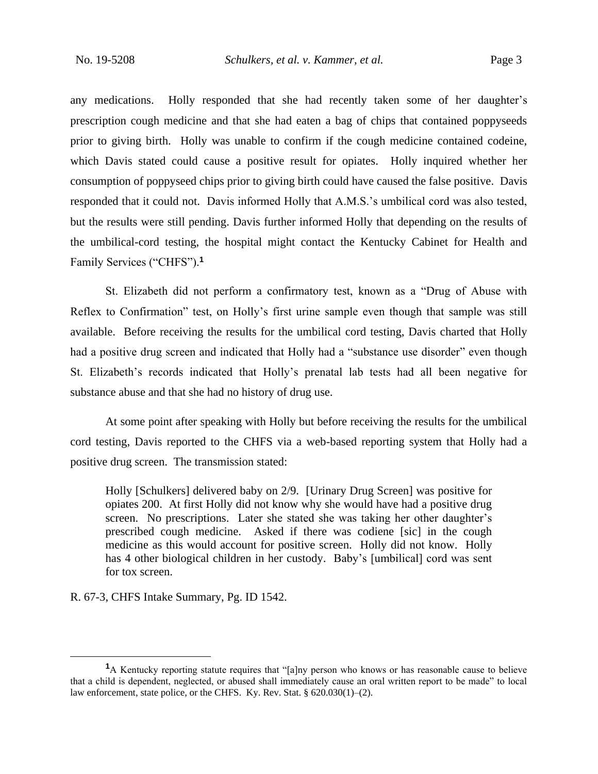any medications. Holly responded that she had recently taken some of her daughter's prescription cough medicine and that she had eaten a bag of chips that contained poppyseeds prior to giving birth. Holly was unable to confirm if the cough medicine contained codeine, which Davis stated could cause a positive result for opiates. Holly inquired whether her consumption of poppyseed chips prior to giving birth could have caused the false positive. Davis responded that it could not. Davis informed Holly that A.M.S.'s umbilical cord was also tested, but the results were still pending. Davis further informed Holly that depending on the results of the umbilical-cord testing, the hospital might contact the Kentucky Cabinet for Health and Family Services ("CHFS").**<sup>1</sup>**

St. Elizabeth did not perform a confirmatory test, known as a "Drug of Abuse with Reflex to Confirmation" test, on Holly's first urine sample even though that sample was still available. Before receiving the results for the umbilical cord testing, Davis charted that Holly had a positive drug screen and indicated that Holly had a "substance use disorder" even though St. Elizabeth's records indicated that Holly's prenatal lab tests had all been negative for substance abuse and that she had no history of drug use.

At some point after speaking with Holly but before receiving the results for the umbilical cord testing, Davis reported to the CHFS via a web-based reporting system that Holly had a positive drug screen. The transmission stated:

Holly [Schulkers] delivered baby on 2/9. [Urinary Drug Screen] was positive for opiates 200. At first Holly did not know why she would have had a positive drug screen. No prescriptions. Later she stated she was taking her other daughter's prescribed cough medicine. Asked if there was codiene [sic] in the cough medicine as this would account for positive screen. Holly did not know. Holly has 4 other biological children in her custody. Baby's [umbilical] cord was sent for tox screen.

R. 67-3, CHFS Intake Summary, Pg. ID 1542.

<sup>&</sup>lt;sup>1</sup>A Kentucky reporting statute requires that "[a]ny person who knows or has reasonable cause to believe that a child is dependent, neglected, or abused shall immediately cause an oral written report to be made" to local law enforcement, state police, or the CHFS. Ky. Rev. Stat. § 620.030(1)–(2).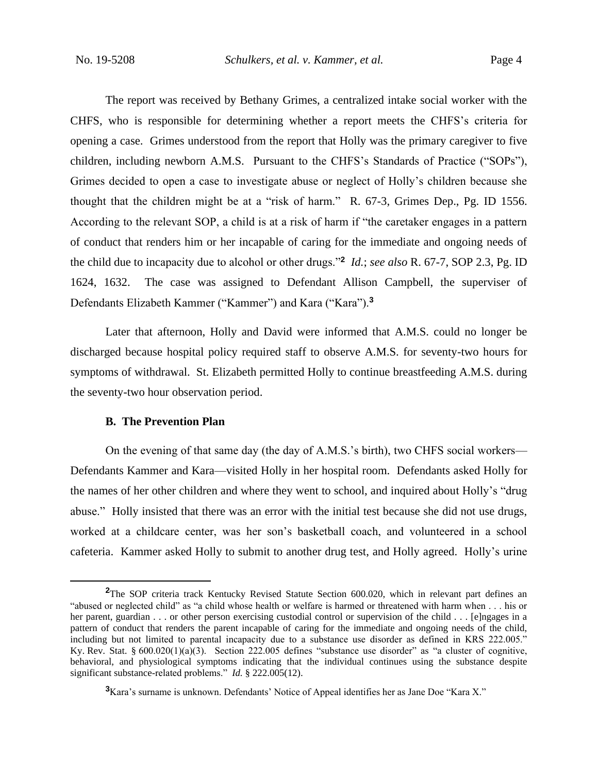The report was received by Bethany Grimes, a centralized intake social worker with the CHFS, who is responsible for determining whether a report meets the CHFS's criteria for opening a case. Grimes understood from the report that Holly was the primary caregiver to five children, including newborn A.M.S. Pursuant to the CHFS's Standards of Practice ("SOPs"), Grimes decided to open a case to investigate abuse or neglect of Holly's children because she thought that the children might be at a "risk of harm." R. 67-3, Grimes Dep., Pg. ID 1556. According to the relevant SOP, a child is at a risk of harm if "the caretaker engages in a pattern of conduct that renders him or her incapable of caring for the immediate and ongoing needs of the child due to incapacity due to alcohol or other drugs."**<sup>2</sup>** *Id.*; *see also* R. 67-7, SOP 2.3, Pg. ID 1624, 1632. The case was assigned to Defendant Allison Campbell, the superviser of Defendants Elizabeth Kammer ("Kammer") and Kara ("Kara").**<sup>3</sup>**

Later that afternoon, Holly and David were informed that A.M.S. could no longer be discharged because hospital policy required staff to observe A.M.S. for seventy-two hours for symptoms of withdrawal. St. Elizabeth permitted Holly to continue breastfeeding A.M.S. during the seventy-two hour observation period.

### **B. The Prevention Plan**

On the evening of that same day (the day of A.M.S.'s birth), two CHFS social workers— Defendants Kammer and Kara—visited Holly in her hospital room. Defendants asked Holly for the names of her other children and where they went to school, and inquired about Holly's "drug abuse." Holly insisted that there was an error with the initial test because she did not use drugs, worked at a childcare center, was her son's basketball coach, and volunteered in a school cafeteria. Kammer asked Holly to submit to another drug test, and Holly agreed. Holly's urine

<sup>&</sup>lt;sup>2</sup>The SOP criteria track Kentucky Revised Statute Section 600.020, which in relevant part defines an "abused or neglected child" as "a child whose health or welfare is harmed or threatened with harm when . . . his or her parent, guardian . . . or other person exercising custodial control or supervision of the child . . . [e]ngages in a pattern of conduct that renders the parent incapable of caring for the immediate and ongoing needs of the child, including but not limited to parental incapacity due to a substance use disorder as defined in KRS 222.005." Ky. Rev. Stat. § 600.020(1)(a)(3). Section 222.005 defines "substance use disorder" as "a cluster of cognitive, behavioral, and physiological symptoms indicating that the individual continues using the substance despite significant substance-related problems." *Id.* § 222.005(12).

**<sup>3</sup>**Kara's surname is unknown. Defendants' Notice of Appeal identifies her as Jane Doe "Kara X."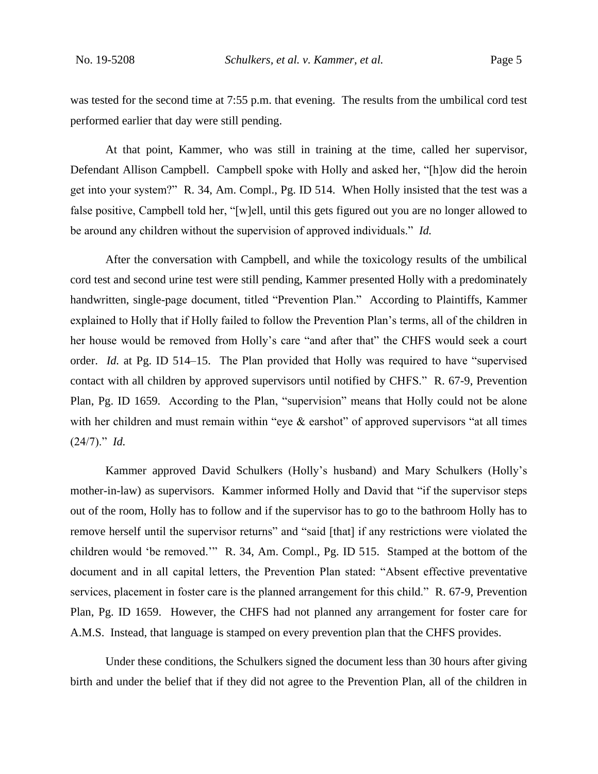was tested for the second time at 7:55 p.m. that evening. The results from the umbilical cord test performed earlier that day were still pending.

At that point, Kammer, who was still in training at the time, called her supervisor, Defendant Allison Campbell. Campbell spoke with Holly and asked her, "[h]ow did the heroin get into your system?" R. 34, Am. Compl., Pg. ID 514. When Holly insisted that the test was a false positive, Campbell told her, "[w]ell, until this gets figured out you are no longer allowed to be around any children without the supervision of approved individuals." *Id.*

After the conversation with Campbell, and while the toxicology results of the umbilical cord test and second urine test were still pending, Kammer presented Holly with a predominately handwritten, single-page document, titled "Prevention Plan." According to Plaintiffs, Kammer explained to Holly that if Holly failed to follow the Prevention Plan's terms, all of the children in her house would be removed from Holly's care "and after that" the CHFS would seek a court order. *Id.* at Pg. ID 514–15. The Plan provided that Holly was required to have "supervised contact with all children by approved supervisors until notified by CHFS." R. 67-9, Prevention Plan, Pg. ID 1659. According to the Plan, "supervision" means that Holly could not be alone with her children and must remain within "eye & earshot" of approved supervisors "at all times (24/7)." *Id.*

Kammer approved David Schulkers (Holly's husband) and Mary Schulkers (Holly's mother-in-law) as supervisors. Kammer informed Holly and David that "if the supervisor steps out of the room, Holly has to follow and if the supervisor has to go to the bathroom Holly has to remove herself until the supervisor returns" and "said [that] if any restrictions were violated the children would 'be removed.'" R. 34, Am. Compl., Pg. ID 515. Stamped at the bottom of the document and in all capital letters, the Prevention Plan stated: "Absent effective preventative services, placement in foster care is the planned arrangement for this child." R. 67-9, Prevention Plan, Pg. ID 1659. However, the CHFS had not planned any arrangement for foster care for A.M.S. Instead, that language is stamped on every prevention plan that the CHFS provides.

Under these conditions, the Schulkers signed the document less than 30 hours after giving birth and under the belief that if they did not agree to the Prevention Plan, all of the children in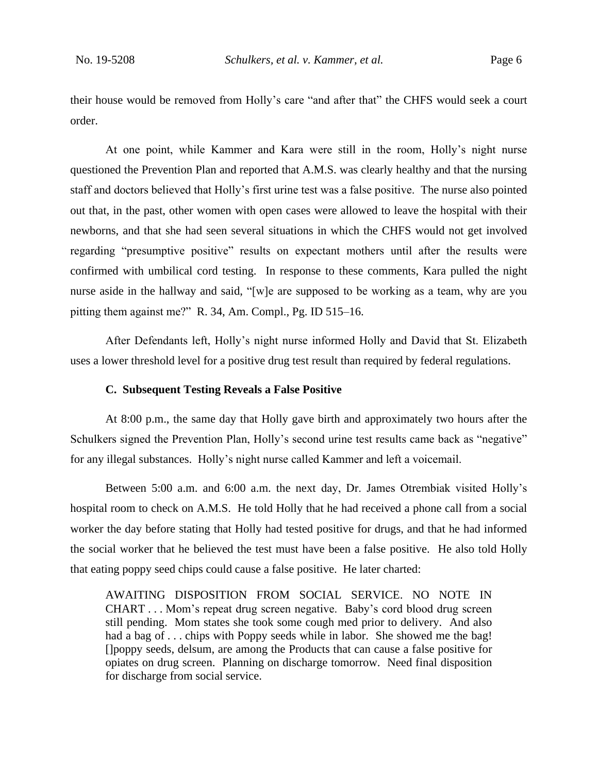their house would be removed from Holly's care "and after that" the CHFS would seek a court order.

At one point, while Kammer and Kara were still in the room, Holly's night nurse questioned the Prevention Plan and reported that A.M.S. was clearly healthy and that the nursing staff and doctors believed that Holly's first urine test was a false positive. The nurse also pointed out that, in the past, other women with open cases were allowed to leave the hospital with their newborns, and that she had seen several situations in which the CHFS would not get involved regarding "presumptive positive" results on expectant mothers until after the results were confirmed with umbilical cord testing. In response to these comments, Kara pulled the night nurse aside in the hallway and said, "[w]e are supposed to be working as a team, why are you pitting them against me?" R. 34, Am. Compl., Pg. ID 515–16.

After Defendants left, Holly's night nurse informed Holly and David that St. Elizabeth uses a lower threshold level for a positive drug test result than required by federal regulations.

### **C. Subsequent Testing Reveals a False Positive**

At 8:00 p.m., the same day that Holly gave birth and approximately two hours after the Schulkers signed the Prevention Plan, Holly's second urine test results came back as "negative" for any illegal substances. Holly's night nurse called Kammer and left a voicemail.

Between 5:00 a.m. and 6:00 a.m. the next day, Dr. James Otrembiak visited Holly's hospital room to check on A.M.S. He told Holly that he had received a phone call from a social worker the day before stating that Holly had tested positive for drugs, and that he had informed the social worker that he believed the test must have been a false positive. He also told Holly that eating poppy seed chips could cause a false positive. He later charted:

AWAITING DISPOSITION FROM SOCIAL SERVICE. NO NOTE IN CHART . . . Mom's repeat drug screen negative. Baby's cord blood drug screen still pending. Mom states she took some cough med prior to delivery. And also had a bag of ... chips with Poppy seeds while in labor. She showed me the bag! []poppy seeds, delsum, are among the Products that can cause a false positive for opiates on drug screen. Planning on discharge tomorrow. Need final disposition for discharge from social service.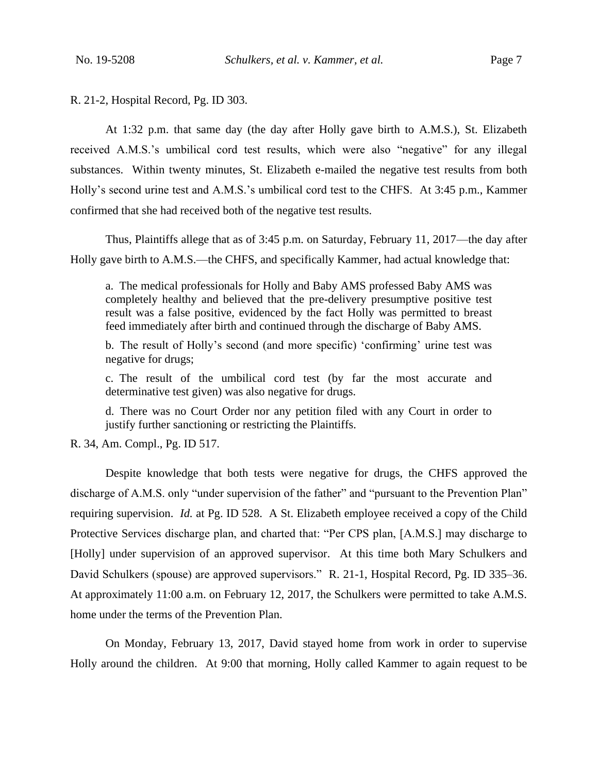R. 21-2, Hospital Record, Pg. ID 303.

At 1:32 p.m. that same day (the day after Holly gave birth to A.M.S.), St. Elizabeth received A.M.S.'s umbilical cord test results, which were also "negative" for any illegal substances. Within twenty minutes, St. Elizabeth e-mailed the negative test results from both Holly's second urine test and A.M.S.'s umbilical cord test to the CHFS. At 3:45 p.m., Kammer confirmed that she had received both of the negative test results.

Thus, Plaintiffs allege that as of 3:45 p.m. on Saturday, February 11, 2017—the day after Holly gave birth to A.M.S.—the CHFS, and specifically Kammer, had actual knowledge that:

a. The medical professionals for Holly and Baby AMS professed Baby AMS was completely healthy and believed that the pre-delivery presumptive positive test result was a false positive, evidenced by the fact Holly was permitted to breast feed immediately after birth and continued through the discharge of Baby AMS.

b. The result of Holly's second (and more specific) 'confirming' urine test was negative for drugs;

c. The result of the umbilical cord test (by far the most accurate and determinative test given) was also negative for drugs.

d. There was no Court Order nor any petition filed with any Court in order to justify further sanctioning or restricting the Plaintiffs.

R. 34, Am. Compl., Pg. ID 517.

Despite knowledge that both tests were negative for drugs, the CHFS approved the discharge of A.M.S. only "under supervision of the father" and "pursuant to the Prevention Plan" requiring supervision. *Id.* at Pg. ID 528. A St. Elizabeth employee received a copy of the Child Protective Services discharge plan, and charted that: "Per CPS plan, [A.M.S.] may discharge to [Holly] under supervision of an approved supervisor. At this time both Mary Schulkers and David Schulkers (spouse) are approved supervisors." R. 21-1, Hospital Record, Pg. ID 335–36. At approximately 11:00 a.m. on February 12, 2017, the Schulkers were permitted to take A.M.S. home under the terms of the Prevention Plan.

On Monday, February 13, 2017, David stayed home from work in order to supervise Holly around the children. At 9:00 that morning, Holly called Kammer to again request to be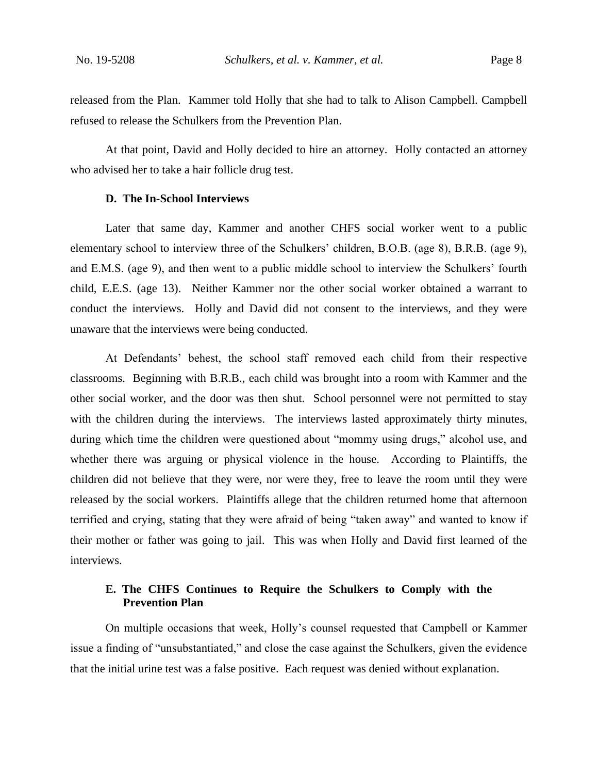released from the Plan. Kammer told Holly that she had to talk to Alison Campbell. Campbell refused to release the Schulkers from the Prevention Plan.

At that point, David and Holly decided to hire an attorney. Holly contacted an attorney who advised her to take a hair follicle drug test.

### **D. The In-School Interviews**

Later that same day, Kammer and another CHFS social worker went to a public elementary school to interview three of the Schulkers' children, B.O.B. (age 8), B.R.B. (age 9), and E.M.S. (age 9), and then went to a public middle school to interview the Schulkers' fourth child, E.E.S. (age 13). Neither Kammer nor the other social worker obtained a warrant to conduct the interviews. Holly and David did not consent to the interviews, and they were unaware that the interviews were being conducted.

At Defendants' behest, the school staff removed each child from their respective classrooms. Beginning with B.R.B., each child was brought into a room with Kammer and the other social worker, and the door was then shut. School personnel were not permitted to stay with the children during the interviews. The interviews lasted approximately thirty minutes, during which time the children were questioned about "mommy using drugs," alcohol use, and whether there was arguing or physical violence in the house. According to Plaintiffs, the children did not believe that they were, nor were they, free to leave the room until they were released by the social workers. Plaintiffs allege that the children returned home that afternoon terrified and crying, stating that they were afraid of being "taken away" and wanted to know if their mother or father was going to jail. This was when Holly and David first learned of the interviews.

### **E. The CHFS Continues to Require the Schulkers to Comply with the Prevention Plan**

On multiple occasions that week, Holly's counsel requested that Campbell or Kammer issue a finding of "unsubstantiated," and close the case against the Schulkers, given the evidence that the initial urine test was a false positive. Each request was denied without explanation.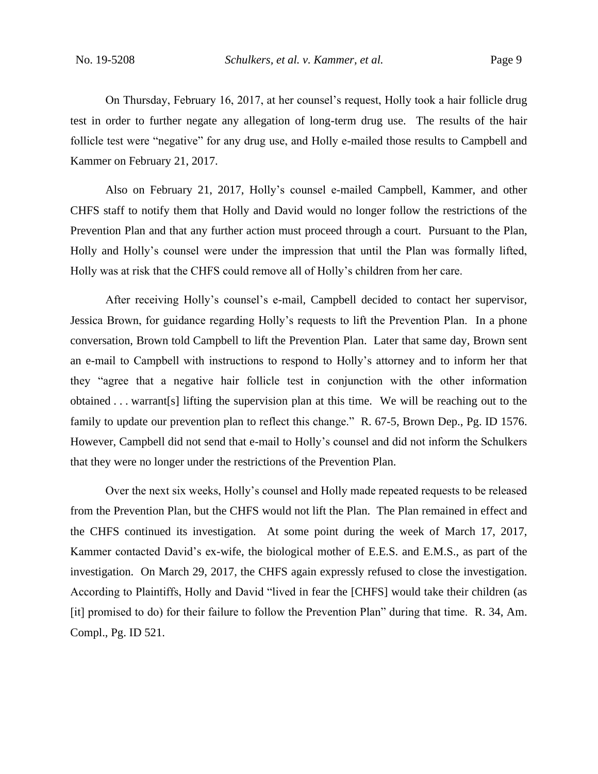On Thursday, February 16, 2017, at her counsel's request, Holly took a hair follicle drug test in order to further negate any allegation of long-term drug use. The results of the hair follicle test were "negative" for any drug use, and Holly e-mailed those results to Campbell and Kammer on February 21, 2017.

Also on February 21, 2017, Holly's counsel e-mailed Campbell, Kammer, and other CHFS staff to notify them that Holly and David would no longer follow the restrictions of the Prevention Plan and that any further action must proceed through a court. Pursuant to the Plan, Holly and Holly's counsel were under the impression that until the Plan was formally lifted, Holly was at risk that the CHFS could remove all of Holly's children from her care.

After receiving Holly's counsel's e-mail, Campbell decided to contact her supervisor, Jessica Brown, for guidance regarding Holly's requests to lift the Prevention Plan. In a phone conversation, Brown told Campbell to lift the Prevention Plan. Later that same day, Brown sent an e-mail to Campbell with instructions to respond to Holly's attorney and to inform her that they "agree that a negative hair follicle test in conjunction with the other information obtained . . . warrant[s] lifting the supervision plan at this time. We will be reaching out to the family to update our prevention plan to reflect this change." R. 67-5, Brown Dep., Pg. ID 1576. However, Campbell did not send that e-mail to Holly's counsel and did not inform the Schulkers that they were no longer under the restrictions of the Prevention Plan.

Over the next six weeks, Holly's counsel and Holly made repeated requests to be released from the Prevention Plan, but the CHFS would not lift the Plan. The Plan remained in effect and the CHFS continued its investigation. At some point during the week of March 17, 2017, Kammer contacted David's ex-wife, the biological mother of E.E.S. and E.M.S., as part of the investigation. On March 29, 2017, the CHFS again expressly refused to close the investigation. According to Plaintiffs, Holly and David "lived in fear the [CHFS] would take their children (as [it] promised to do) for their failure to follow the Prevention Plan" during that time. R. 34, Am. Compl., Pg. ID 521.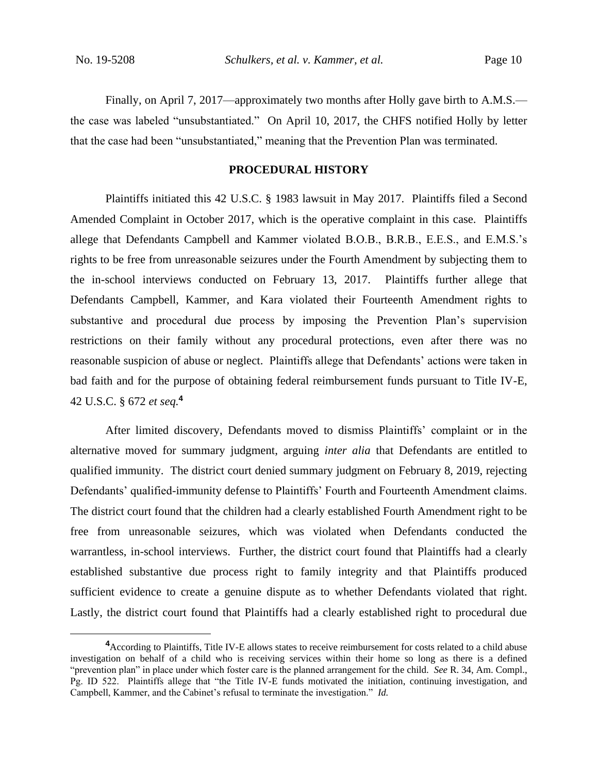Finally, on April 7, 2017—approximately two months after Holly gave birth to A.M.S. the case was labeled "unsubstantiated." On April 10, 2017, the CHFS notified Holly by letter that the case had been "unsubstantiated," meaning that the Prevention Plan was terminated.

### **PROCEDURAL HISTORY**

Plaintiffs initiated this 42 U.S.C. § 1983 lawsuit in May 2017. Plaintiffs filed a Second Amended Complaint in October 2017, which is the operative complaint in this case. Plaintiffs allege that Defendants Campbell and Kammer violated B.O.B., B.R.B., E.E.S., and E.M.S.'s rights to be free from unreasonable seizures under the Fourth Amendment by subjecting them to the in-school interviews conducted on February 13, 2017. Plaintiffs further allege that Defendants Campbell, Kammer, and Kara violated their Fourteenth Amendment rights to substantive and procedural due process by imposing the Prevention Plan's supervision restrictions on their family without any procedural protections, even after there was no reasonable suspicion of abuse or neglect. Plaintiffs allege that Defendants' actions were taken in bad faith and for the purpose of obtaining federal reimbursement funds pursuant to Title IV-E, 42 U.S.C. § 672 *et seq.***<sup>4</sup>**

After limited discovery, Defendants moved to dismiss Plaintiffs' complaint or in the alternative moved for summary judgment, arguing *inter alia* that Defendants are entitled to qualified immunity. The district court denied summary judgment on February 8, 2019, rejecting Defendants' qualified-immunity defense to Plaintiffs' Fourth and Fourteenth Amendment claims. The district court found that the children had a clearly established Fourth Amendment right to be free from unreasonable seizures, which was violated when Defendants conducted the warrantless, in-school interviews. Further, the district court found that Plaintiffs had a clearly established substantive due process right to family integrity and that Plaintiffs produced sufficient evidence to create a genuine dispute as to whether Defendants violated that right. Lastly, the district court found that Plaintiffs had a clearly established right to procedural due

**<sup>4</sup>**According to Plaintiffs, Title IV-E allows states to receive reimbursement for costs related to a child abuse investigation on behalf of a child who is receiving services within their home so long as there is a defined "prevention plan" in place under which foster care is the planned arrangement for the child. *See* R. 34, Am. Compl., Pg. ID 522. Plaintiffs allege that "the Title IV-E funds motivated the initiation, continuing investigation, and Campbell, Kammer, and the Cabinet's refusal to terminate the investigation." *Id.*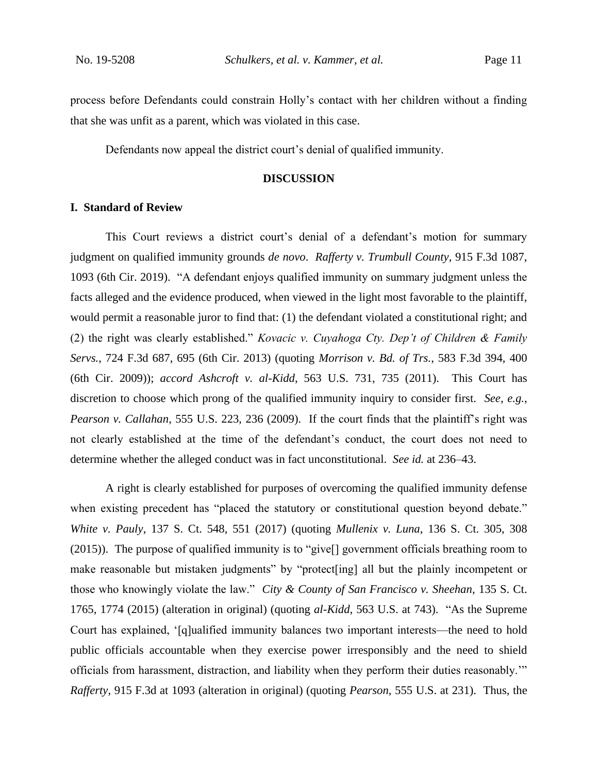process before Defendants could constrain Holly's contact with her children without a finding that she was unfit as a parent, which was violated in this case.

Defendants now appeal the district court's denial of qualified immunity.

### **DISCUSSION**

### **I. Standard of Review**

This Court reviews a district court's denial of a defendant's motion for summary judgment on qualified immunity grounds *de novo*. *Rafferty v. Trumbull County*, 915 F.3d 1087, 1093 (6th Cir. 2019). "A defendant enjoys qualified immunity on summary judgment unless the facts alleged and the evidence produced, when viewed in the light most favorable to the plaintiff, would permit a reasonable juror to find that: (1) the defendant violated a constitutional right; and (2) the right was clearly established." *Kovacic v. Cuyahoga Cty. Dep't of Children & Family Servs.*, 724 F.3d 687, 695 (6th Cir. 2013) (quoting *Morrison v. Bd. of Trs.*, 583 F.3d 394, 400 (6th Cir. 2009)); *accord Ashcroft v. al-Kidd*, 563 U.S. 731, 735 (2011). This Court has discretion to choose which prong of the qualified immunity inquiry to consider first. *See, e.g.*, *Pearson v. Callahan*, 555 U.S. 223, 236 (2009). If the court finds that the plaintiff's right was not clearly established at the time of the defendant's conduct, the court does not need to determine whether the alleged conduct was in fact unconstitutional. *See id.* at 236–43.

A right is clearly established for purposes of overcoming the qualified immunity defense when existing precedent has "placed the statutory or constitutional question beyond debate." *White v. Pauly*, 137 S. Ct. 548, 551 (2017) (quoting *Mullenix v. Luna*, 136 S. Ct. 305, 308 (2015)). The purpose of qualified immunity is to "give[] government officials breathing room to make reasonable but mistaken judgments" by "protect [ing] all but the plainly incompetent or those who knowingly violate the law." *City & County of San Francisco v. Sheehan*, 135 S. Ct. 1765, 1774 (2015) (alteration in original) (quoting *al-Kidd*, 563 U.S. at 743). "As the Supreme Court has explained, '[q]ualified immunity balances two important interests—the need to hold public officials accountable when they exercise power irresponsibly and the need to shield officials from harassment, distraction, and liability when they perform their duties reasonably.'" *Rafferty*, 915 F.3d at 1093 (alteration in original) (quoting *Pearson*, 555 U.S. at 231). Thus, the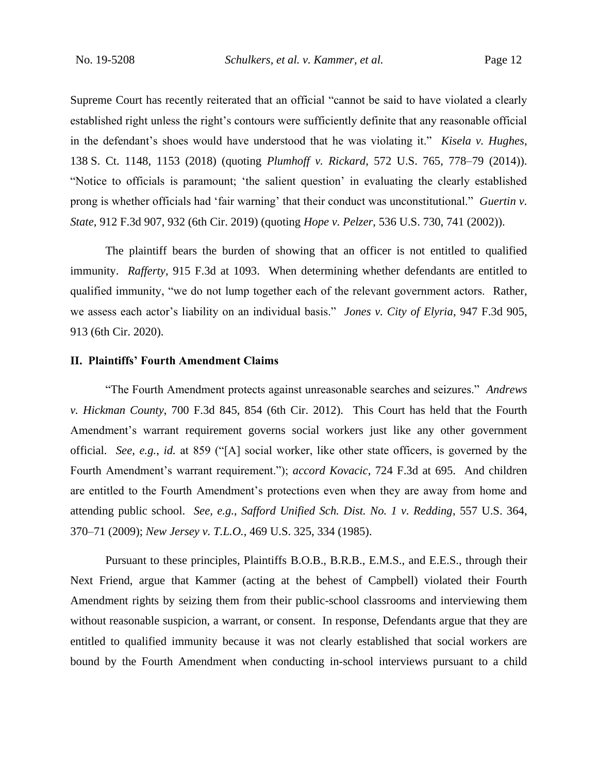Supreme Court has recently reiterated that an official "cannot be said to have violated a clearly established right unless the right's contours were sufficiently definite that any reasonable official in the defendant's shoes would have understood that he was violating it." *Kisela v. Hughes*, 138 S. Ct. 1148, 1153 (2018) (quoting *Plumhoff v. Rickard*, 572 U.S. 765, 778–79 (2014)). "Notice to officials is paramount; 'the salient question' in evaluating the clearly established prong is whether officials had 'fair warning' that their conduct was unconstitutional." *Guertin v. State*, 912 F.3d 907, 932 (6th Cir. 2019) (quoting *Hope v. Pelzer*, 536 U.S. 730, 741 (2002)).

The plaintiff bears the burden of showing that an officer is not entitled to qualified immunity. *Rafferty*, 915 F.3d at 1093. When determining whether defendants are entitled to qualified immunity, "we do not lump together each of the relevant government actors. Rather, we assess each actor's liability on an individual basis." *Jones v. City of Elyria*, 947 F.3d 905, 913 (6th Cir. 2020).

### **II. Plaintiffs' Fourth Amendment Claims**

"The Fourth Amendment protects against unreasonable searches and seizures." *Andrews v. Hickman County*, 700 F.3d 845, 854 (6th Cir. 2012). This Court has held that the Fourth Amendment's warrant requirement governs social workers just like any other government official. *See, e.g.*, *id.* at 859 ("[A] social worker, like other state officers, is governed by the Fourth Amendment's warrant requirement."); *accord Kovacic*, 724 F.3d at 695. And children are entitled to the Fourth Amendment's protections even when they are away from home and attending public school. *See, e.g.*, *Safford Unified Sch. Dist. No. 1 v. Redding*, 557 U.S. 364, 370–71 (2009); *New Jersey v. T.L.O.*, 469 U.S. 325, 334 (1985).

Pursuant to these principles, Plaintiffs B.O.B., B.R.B., E.M.S., and E.E.S., through their Next Friend, argue that Kammer (acting at the behest of Campbell) violated their Fourth Amendment rights by seizing them from their public-school classrooms and interviewing them without reasonable suspicion, a warrant, or consent. In response, Defendants argue that they are entitled to qualified immunity because it was not clearly established that social workers are bound by the Fourth Amendment when conducting in-school interviews pursuant to a child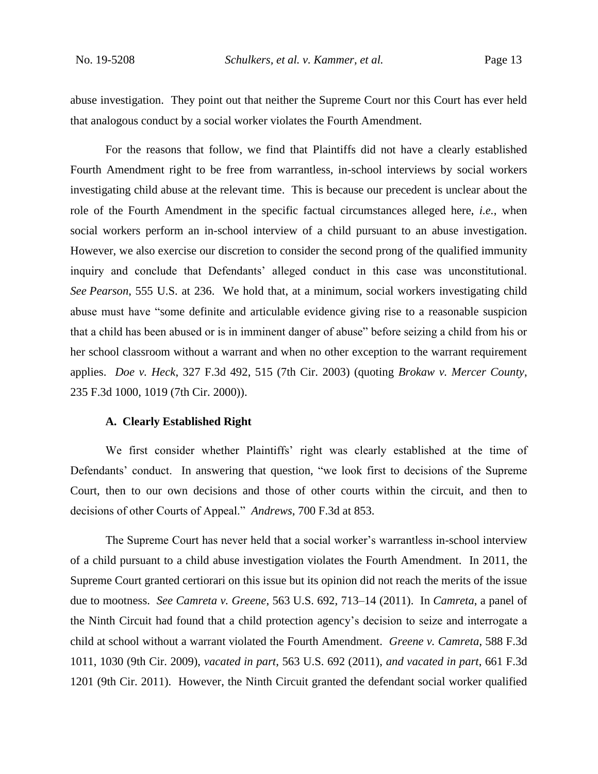abuse investigation. They point out that neither the Supreme Court nor this Court has ever held that analogous conduct by a social worker violates the Fourth Amendment.

For the reasons that follow, we find that Plaintiffs did not have a clearly established Fourth Amendment right to be free from warrantless, in-school interviews by social workers investigating child abuse at the relevant time. This is because our precedent is unclear about the role of the Fourth Amendment in the specific factual circumstances alleged here, *i.e.*, when social workers perform an in-school interview of a child pursuant to an abuse investigation. However, we also exercise our discretion to consider the second prong of the qualified immunity inquiry and conclude that Defendants' alleged conduct in this case was unconstitutional. *See Pearson*, 555 U.S. at 236. We hold that, at a minimum, social workers investigating child abuse must have "some definite and articulable evidence giving rise to a reasonable suspicion that a child has been abused or is in imminent danger of abuse" before seizing a child from his or her school classroom without a warrant and when no other exception to the warrant requirement applies. *Doe v. Heck*, 327 F.3d 492, 515 (7th Cir. 2003) (quoting *Brokaw v. Mercer County*, 235 F.3d 1000, 1019 (7th Cir. 2000)).

### **A. Clearly Established Right**

We first consider whether Plaintiffs' right was clearly established at the time of Defendants' conduct. In answering that question, "we look first to decisions of the Supreme Court, then to our own decisions and those of other courts within the circuit, and then to decisions of other Courts of Appeal." *Andrews*, 700 F.3d at 853.

The Supreme Court has never held that a social worker's warrantless in-school interview of a child pursuant to a child abuse investigation violates the Fourth Amendment. In 2011, the Supreme Court granted certiorari on this issue but its opinion did not reach the merits of the issue due to mootness. *See Camreta v. Greene*, 563 U.S. 692, 713–14 (2011). In *Camreta*, a panel of the Ninth Circuit had found that a child protection agency's decision to seize and interrogate a child at school without a warrant violated the Fourth Amendment. *Greene v. Camreta*, 588 F.3d 1011, 1030 (9th Cir. 2009), *vacated in part*, 563 U.S. 692 (2011), *and vacated in part*, 661 F.3d 1201 (9th Cir. 2011). However, the Ninth Circuit granted the defendant social worker qualified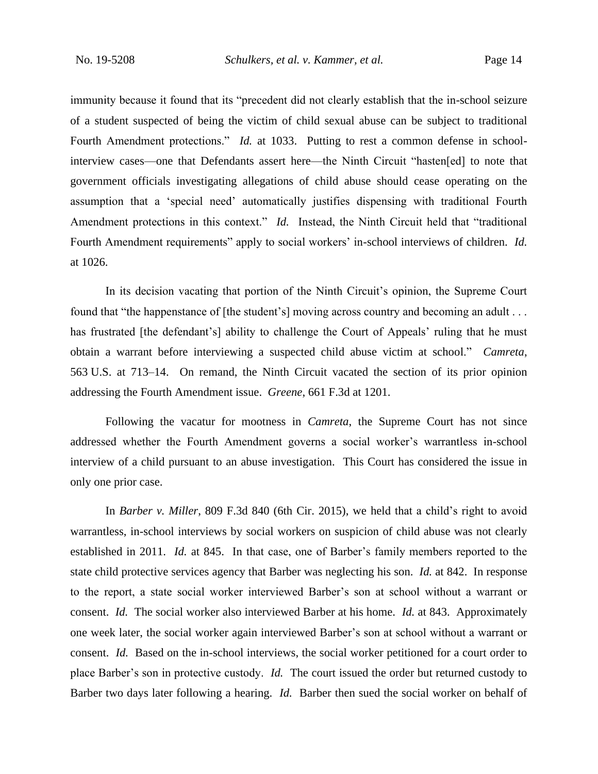immunity because it found that its "precedent did not clearly establish that the in-school seizure of a student suspected of being the victim of child sexual abuse can be subject to traditional Fourth Amendment protections." *Id.* at 1033. Putting to rest a common defense in schoolinterview cases—one that Defendants assert here—the Ninth Circuit "hasten[ed] to note that government officials investigating allegations of child abuse should cease operating on the assumption that a 'special need' automatically justifies dispensing with traditional Fourth Amendment protections in this context." *Id.* Instead, the Ninth Circuit held that "traditional Fourth Amendment requirements" apply to social workers' in-school interviews of children. *Id.* at 1026.

In its decision vacating that portion of the Ninth Circuit's opinion, the Supreme Court found that "the happenstance of [the student's] moving across country and becoming an adult . . . has frustrated [the defendant's] ability to challenge the Court of Appeals' ruling that he must obtain a warrant before interviewing a suspected child abuse victim at school." *Camreta*, 563 U.S. at 713–14. On remand, the Ninth Circuit vacated the section of its prior opinion addressing the Fourth Amendment issue. *Greene*, 661 F.3d at 1201.

Following the vacatur for mootness in *Camreta*, the Supreme Court has not since addressed whether the Fourth Amendment governs a social worker's warrantless in-school interview of a child pursuant to an abuse investigation. This Court has considered the issue in only one prior case.

In *Barber v. Miller*, 809 F.3d 840 (6th Cir. 2015), we held that a child's right to avoid warrantless, in-school interviews by social workers on suspicion of child abuse was not clearly established in 2011. *Id.* at 845. In that case, one of Barber's family members reported to the state child protective services agency that Barber was neglecting his son. *Id.* at 842. In response to the report, a state social worker interviewed Barber's son at school without a warrant or consent. *Id.* The social worker also interviewed Barber at his home. *Id.* at 843. Approximately one week later, the social worker again interviewed Barber's son at school without a warrant or consent. *Id.* Based on the in-school interviews, the social worker petitioned for a court order to place Barber's son in protective custody. *Id.* The court issued the order but returned custody to Barber two days later following a hearing. *Id.* Barber then sued the social worker on behalf of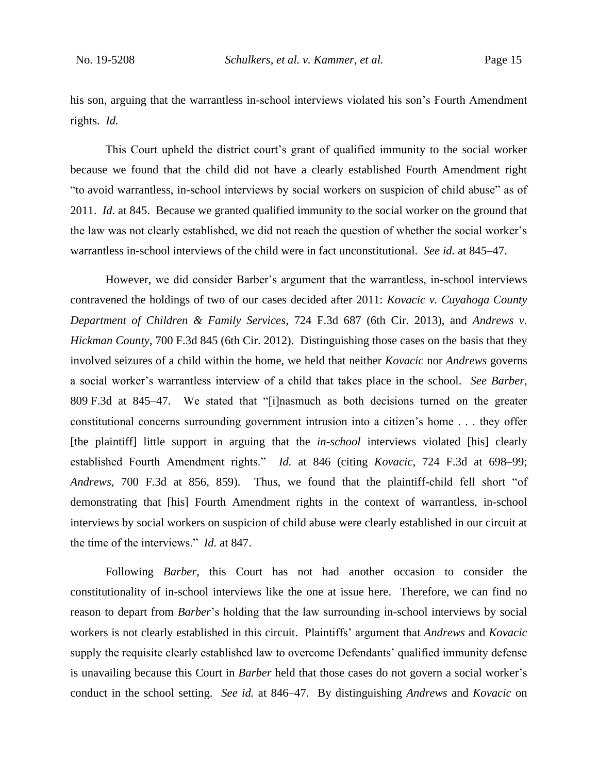his son, arguing that the warrantless in-school interviews violated his son's Fourth Amendment rights. *Id.*

This Court upheld the district court's grant of qualified immunity to the social worker because we found that the child did not have a clearly established Fourth Amendment right "to avoid warrantless, in-school interviews by social workers on suspicion of child abuse" as of 2011. *Id.* at 845. Because we granted qualified immunity to the social worker on the ground that the law was not clearly established, we did not reach the question of whether the social worker's warrantless in-school interviews of the child were in fact unconstitutional. *See id.* at 845–47.

However, we did consider Barber's argument that the warrantless, in-school interviews contravened the holdings of two of our cases decided after 2011: *Kovacic v. Cuyahoga County Department of Children & Family Services*, 724 F.3d 687 (6th Cir. 2013), and *Andrews v. Hickman County*, 700 F.3d 845 (6th Cir. 2012). Distinguishing those cases on the basis that they involved seizures of a child within the home, we held that neither *Kovacic* nor *Andrews* governs a social worker's warrantless interview of a child that takes place in the school. *See Barber*, 809 F.3d at 845–47. We stated that "[i]nasmuch as both decisions turned on the greater constitutional concerns surrounding government intrusion into a citizen's home . . . they offer [the plaintiff] little support in arguing that the *in-school* interviews violated [his] clearly established Fourth Amendment rights." *Id.* at 846 (citing *Kovacic*, 724 F.3d at 698–99; *Andrews*, 700 F.3d at 856, 859). Thus, we found that the plaintiff-child fell short "of demonstrating that [his] Fourth Amendment rights in the context of warrantless, in-school interviews by social workers on suspicion of child abuse were clearly established in our circuit at the time of the interviews." *Id.* at 847.

Following *Barber*, this Court has not had another occasion to consider the constitutionality of in-school interviews like the one at issue here. Therefore, we can find no reason to depart from *Barber*'s holding that the law surrounding in-school interviews by social workers is not clearly established in this circuit. Plaintiffs' argument that *Andrews* and *Kovacic*  supply the requisite clearly established law to overcome Defendants' qualified immunity defense is unavailing because this Court in *Barber* held that those cases do not govern a social worker's conduct in the school setting. *See id.* at 846–47. By distinguishing *Andrews* and *Kovacic* on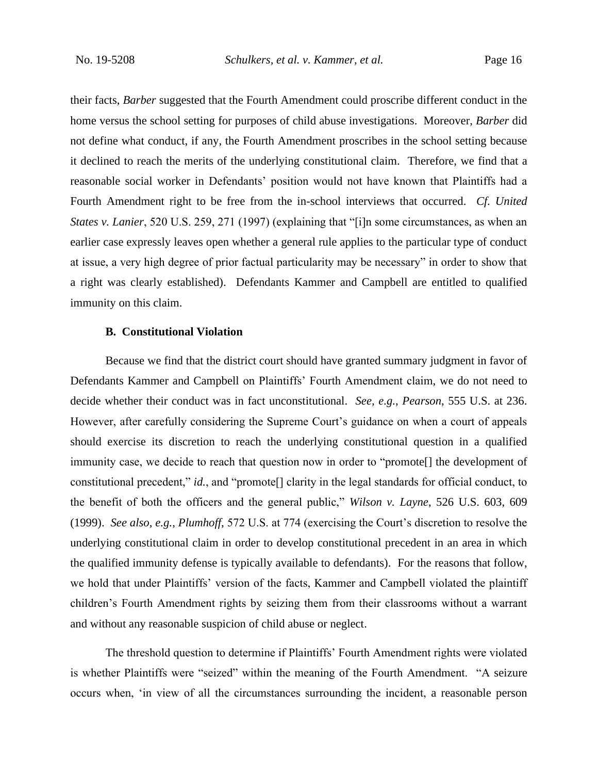their facts, *Barber* suggested that the Fourth Amendment could proscribe different conduct in the home versus the school setting for purposes of child abuse investigations. Moreover, *Barber* did not define what conduct, if any, the Fourth Amendment proscribes in the school setting because it declined to reach the merits of the underlying constitutional claim. Therefore, we find that a reasonable social worker in Defendants' position would not have known that Plaintiffs had a Fourth Amendment right to be free from the in-school interviews that occurred. *Cf. United States v. Lanier*, 520 U.S. 259, 271 (1997) (explaining that "[i]n some circumstances, as when an earlier case expressly leaves open whether a general rule applies to the particular type of conduct at issue, a very high degree of prior factual particularity may be necessary" in order to show that a right was clearly established). Defendants Kammer and Campbell are entitled to qualified immunity on this claim.

### **B. Constitutional Violation**

Because we find that the district court should have granted summary judgment in favor of Defendants Kammer and Campbell on Plaintiffs' Fourth Amendment claim, we do not need to decide whether their conduct was in fact unconstitutional. *See, e.g.*, *Pearson*, 555 U.S. at 236. However, after carefully considering the Supreme Court's guidance on when a court of appeals should exercise its discretion to reach the underlying constitutional question in a qualified immunity case, we decide to reach that question now in order to "promote[] the development of constitutional precedent," *id.*, and "promote[] clarity in the legal standards for official conduct, to the benefit of both the officers and the general public," *Wilson v. Layne*, 526 U.S. 603, 609 (1999). *See also, e.g.*, *Plumhoff*, 572 U.S. at 774 (exercising the Court's discretion to resolve the underlying constitutional claim in order to develop constitutional precedent in an area in which the qualified immunity defense is typically available to defendants). For the reasons that follow, we hold that under Plaintiffs' version of the facts, Kammer and Campbell violated the plaintiff children's Fourth Amendment rights by seizing them from their classrooms without a warrant and without any reasonable suspicion of child abuse or neglect.

The threshold question to determine if Plaintiffs' Fourth Amendment rights were violated is whether Plaintiffs were "seized" within the meaning of the Fourth Amendment. "A seizure occurs when, 'in view of all the circumstances surrounding the incident, a reasonable person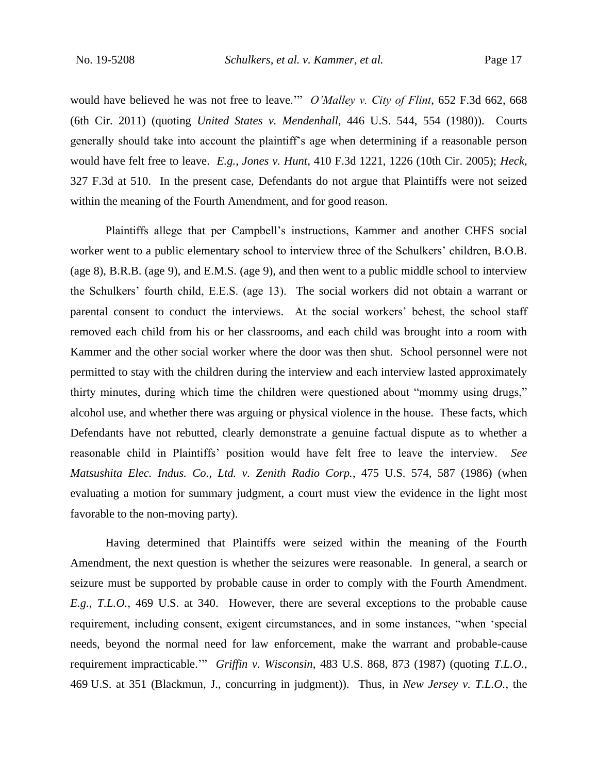would have believed he was not free to leave.'" *O'Malley v. City of Flint*, 652 F.3d 662, 668 (6th Cir. 2011) (quoting *United States v. Mendenhall,* 446 U.S. 544, 554 (1980)). Courts generally should take into account the plaintiff's age when determining if a reasonable person would have felt free to leave. *E.g.*, *Jones v. Hunt*, 410 F.3d 1221, 1226 (10th Cir. 2005); *Heck*, 327 F.3d at 510. In the present case, Defendants do not argue that Plaintiffs were not seized within the meaning of the Fourth Amendment, and for good reason.

Plaintiffs allege that per Campbell's instructions, Kammer and another CHFS social worker went to a public elementary school to interview three of the Schulkers' children, B.O.B. (age 8), B.R.B. (age 9), and E.M.S. (age 9), and then went to a public middle school to interview the Schulkers' fourth child, E.E.S. (age 13). The social workers did not obtain a warrant or parental consent to conduct the interviews. At the social workers' behest, the school staff removed each child from his or her classrooms, and each child was brought into a room with Kammer and the other social worker where the door was then shut. School personnel were not permitted to stay with the children during the interview and each interview lasted approximately thirty minutes, during which time the children were questioned about "mommy using drugs," alcohol use, and whether there was arguing or physical violence in the house. These facts, which Defendants have not rebutted, clearly demonstrate a genuine factual dispute as to whether a reasonable child in Plaintiffs' position would have felt free to leave the interview. *See Matsushita Elec. Indus. Co., Ltd. v. Zenith Radio Corp.*, 475 U.S. 574, 587 (1986) (when evaluating a motion for summary judgment, a court must view the evidence in the light most favorable to the non-moving party).

Having determined that Plaintiffs were seized within the meaning of the Fourth Amendment, the next question is whether the seizures were reasonable. In general, a search or seizure must be supported by probable cause in order to comply with the Fourth Amendment. *E.g.*, *T.L.O.*, 469 U.S. at 340. However, there are several exceptions to the probable cause requirement, including consent, exigent circumstances, and in some instances, "when 'special needs, beyond the normal need for law enforcement, make the warrant and probable-cause requirement impracticable.'" *Griffin v. Wisconsin*, 483 U.S. 868, 873 (1987) (quoting *T.L.O.*, 469 U.S. at 351 (Blackmun, J., concurring in judgment)). Thus, in *New Jersey v. T.L.O.*, the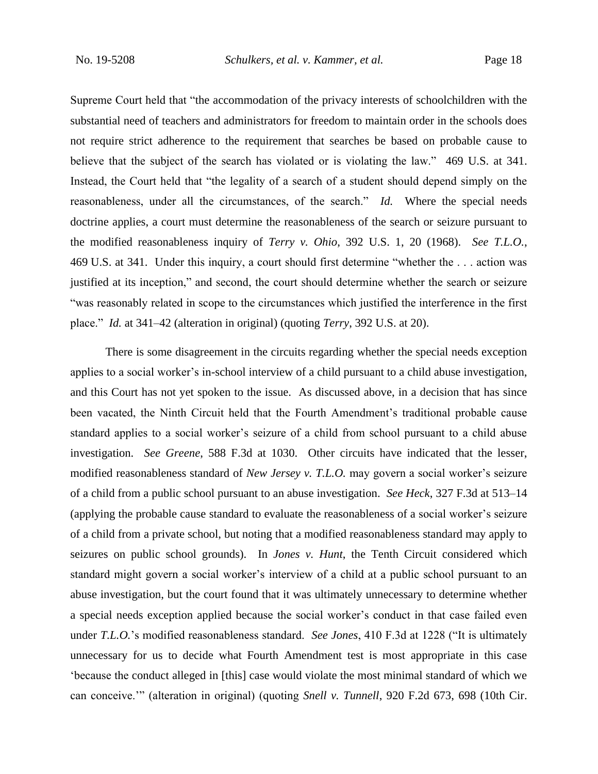Supreme Court held that "the accommodation of the privacy interests of schoolchildren with the substantial need of teachers and administrators for freedom to maintain order in the schools does not require strict adherence to the requirement that searches be based on probable cause to believe that the subject of the search has violated or is violating the law." 469 U.S. at 341. Instead, the Court held that "the legality of a search of a student should depend simply on the reasonableness, under all the circumstances, of the search." *Id.* Where the special needs doctrine applies, a court must determine the reasonableness of the search or seizure pursuant to the modified reasonableness inquiry of *Terry v. Ohio*, 392 U.S. 1, 20 (1968). *See T.L.O.*, 469 U.S. at 341. Under this inquiry, a court should first determine "whether the . . . action was justified at its inception," and second, the court should determine whether the search or seizure "was reasonably related in scope to the circumstances which justified the interference in the first place." *Id.* at 341–42 (alteration in original) (quoting *Terry*, 392 U.S. at 20).

There is some disagreement in the circuits regarding whether the special needs exception applies to a social worker's in-school interview of a child pursuant to a child abuse investigation, and this Court has not yet spoken to the issue. As discussed above, in a decision that has since been vacated, the Ninth Circuit held that the Fourth Amendment's traditional probable cause standard applies to a social worker's seizure of a child from school pursuant to a child abuse investigation. *See Greene*, 588 F.3d at 1030. Other circuits have indicated that the lesser, modified reasonableness standard of *New Jersey v. T.L.O.* may govern a social worker's seizure of a child from a public school pursuant to an abuse investigation. *See Heck*, 327 F.3d at 513–14 (applying the probable cause standard to evaluate the reasonableness of a social worker's seizure of a child from a private school, but noting that a modified reasonableness standard may apply to seizures on public school grounds). In *Jones v. Hunt*, the Tenth Circuit considered which standard might govern a social worker's interview of a child at a public school pursuant to an abuse investigation, but the court found that it was ultimately unnecessary to determine whether a special needs exception applied because the social worker's conduct in that case failed even under *T.L.O.*'s modified reasonableness standard. *See Jones*, 410 F.3d at 1228 ("It is ultimately unnecessary for us to decide what Fourth Amendment test is most appropriate in this case 'because the conduct alleged in [this] case would violate the most minimal standard of which we can conceive.'" (alteration in original) (quoting *Snell v. Tunnell*, 920 F.2d 673, 698 (10th Cir.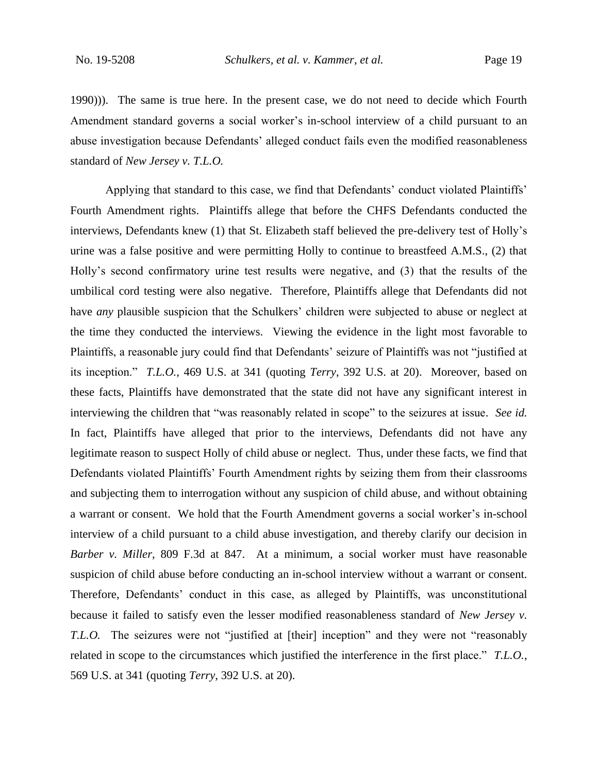1990))). The same is true here. In the present case, we do not need to decide which Fourth Amendment standard governs a social worker's in-school interview of a child pursuant to an abuse investigation because Defendants' alleged conduct fails even the modified reasonableness standard of *New Jersey v. T.L.O.* 

Applying that standard to this case, we find that Defendants' conduct violated Plaintiffs' Fourth Amendment rights. Plaintiffs allege that before the CHFS Defendants conducted the interviews, Defendants knew (1) that St. Elizabeth staff believed the pre-delivery test of Holly's urine was a false positive and were permitting Holly to continue to breastfeed A.M.S., (2) that Holly's second confirmatory urine test results were negative, and (3) that the results of the umbilical cord testing were also negative. Therefore, Plaintiffs allege that Defendants did not have *any* plausible suspicion that the Schulkers' children were subjected to abuse or neglect at the time they conducted the interviews. Viewing the evidence in the light most favorable to Plaintiffs, a reasonable jury could find that Defendants' seizure of Plaintiffs was not "justified at its inception." *T.L.O.*, 469 U.S. at 341 (quoting *Terry*, 392 U.S. at 20). Moreover, based on these facts, Plaintiffs have demonstrated that the state did not have any significant interest in interviewing the children that "was reasonably related in scope" to the seizures at issue. *See id.* In fact, Plaintiffs have alleged that prior to the interviews, Defendants did not have any legitimate reason to suspect Holly of child abuse or neglect. Thus, under these facts, we find that Defendants violated Plaintiffs' Fourth Amendment rights by seizing them from their classrooms and subjecting them to interrogation without any suspicion of child abuse, and without obtaining a warrant or consent. We hold that the Fourth Amendment governs a social worker's in-school interview of a child pursuant to a child abuse investigation, and thereby clarify our decision in *Barber v. Miller*, 809 F.3d at 847. At a minimum, a social worker must have reasonable suspicion of child abuse before conducting an in-school interview without a warrant or consent. Therefore, Defendants' conduct in this case, as alleged by Plaintiffs, was unconstitutional because it failed to satisfy even the lesser modified reasonableness standard of *New Jersey v. T.L.O.* The seizures were not "justified at [their] inception" and they were not "reasonably related in scope to the circumstances which justified the interference in the first place." *T.L.O.*, 569 U.S. at 341 (quoting *Terry*, 392 U.S. at 20).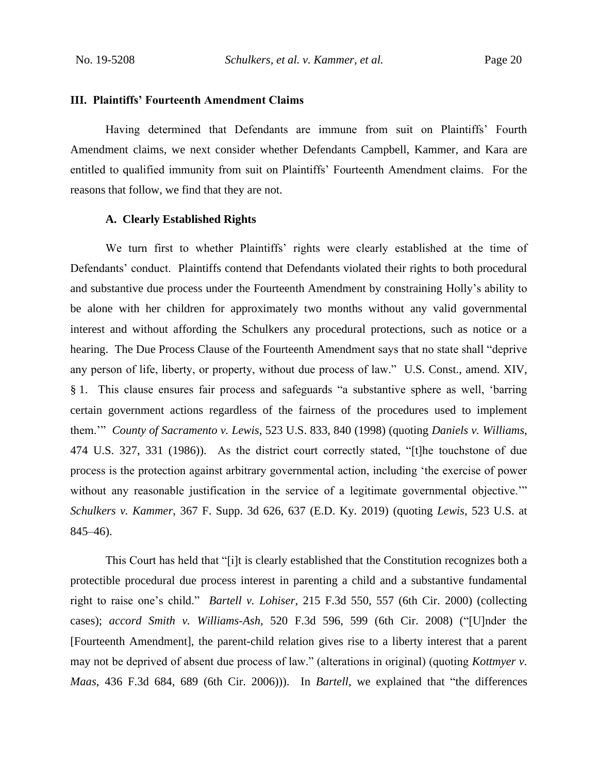### **III. Plaintiffs' Fourteenth Amendment Claims**

Having determined that Defendants are immune from suit on Plaintiffs' Fourth Amendment claims, we next consider whether Defendants Campbell, Kammer, and Kara are entitled to qualified immunity from suit on Plaintiffs' Fourteenth Amendment claims. For the reasons that follow, we find that they are not.

### **A. Clearly Established Rights**

We turn first to whether Plaintiffs' rights were clearly established at the time of Defendants' conduct. Plaintiffs contend that Defendants violated their rights to both procedural and substantive due process under the Fourteenth Amendment by constraining Holly's ability to be alone with her children for approximately two months without any valid governmental interest and without affording the Schulkers any procedural protections, such as notice or a hearing. The Due Process Clause of the Fourteenth Amendment says that no state shall "deprive any person of life, liberty, or property, without due process of law." U.S. Const., amend. XIV, § 1. This clause ensures fair process and safeguards "a substantive sphere as well, 'barring certain government actions regardless of the fairness of the procedures used to implement them.'" *County of Sacramento v. Lewis*, 523 U.S. 833, 840 (1998) (quoting *Daniels v. Williams*, 474 U.S. 327, 331 (1986)). As the district court correctly stated, "[t]he touchstone of due process is the protection against arbitrary governmental action, including 'the exercise of power without any reasonable justification in the service of a legitimate governmental objective." *Schulkers v. Kammer*, 367 F. Supp. 3d 626, 637 (E.D. Ky. 2019) (quoting *Lewis*, 523 U.S. at 845–46).

This Court has held that "[i]t is clearly established that the Constitution recognizes both a protectible procedural due process interest in parenting a child and a substantive fundamental right to raise one's child." *Bartell v. Lohiser*, 215 F.3d 550, 557 (6th Cir. 2000) (collecting cases); *accord Smith v. Williams-Ash*, 520 F.3d 596, 599 (6th Cir. 2008) ("[U]nder the [Fourteenth Amendment], the parent-child relation gives rise to a liberty interest that a parent may not be deprived of absent due process of law." (alterations in original) (quoting *Kottmyer v. Maas*, 436 F.3d 684, 689 (6th Cir. 2006))). In *Bartell*, we explained that "the differences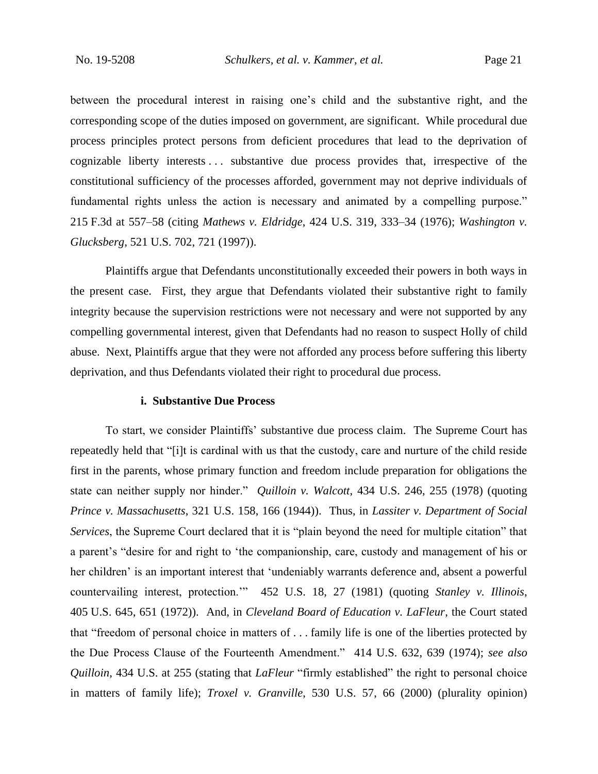between the procedural interest in raising one's child and the substantive right, and the corresponding scope of the duties imposed on government, are significant. While procedural due process principles protect persons from deficient procedures that lead to the deprivation of cognizable liberty interests . . . substantive due process provides that, irrespective of the constitutional sufficiency of the processes afforded, government may not deprive individuals of fundamental rights unless the action is necessary and animated by a compelling purpose." 215 F.3d at 557–58 (citing *Mathews v. Eldridge*, 424 U.S. 319, 333–34 (1976); *Washington v. Glucksberg*, 521 U.S. 702, 721 (1997)).

Plaintiffs argue that Defendants unconstitutionally exceeded their powers in both ways in the present case. First, they argue that Defendants violated their substantive right to family integrity because the supervision restrictions were not necessary and were not supported by any compelling governmental interest, given that Defendants had no reason to suspect Holly of child abuse. Next, Plaintiffs argue that they were not afforded any process before suffering this liberty deprivation, and thus Defendants violated their right to procedural due process.

### **i. Substantive Due Process**

To start, we consider Plaintiffs' substantive due process claim. The Supreme Court has repeatedly held that "[i]t is cardinal with us that the custody, care and nurture of the child reside first in the parents, whose primary function and freedom include preparation for obligations the state can neither supply nor hinder." *Quilloin v. Walcott*, 434 U.S. 246, 255 (1978) (quoting *Prince v. Massachusetts*, 321 U.S. 158, 166 (1944)). Thus, in *Lassiter v. Department of Social Services*, the Supreme Court declared that it is "plain beyond the need for multiple citation" that a parent's "desire for and right to 'the companionship, care, custody and management of his or her children' is an important interest that 'undeniably warrants deference and, absent a powerful countervailing interest, protection.'" 452 U.S. 18, 27 (1981) (quoting *Stanley v. Illinois*, 405 U.S. 645, 651 (1972)). And, in *Cleveland Board of Education v. LaFleur*, the Court stated that "freedom of personal choice in matters of . . . family life is one of the liberties protected by the Due Process Clause of the Fourteenth Amendment." 414 U.S. 632, 639 (1974); *see also Quilloin*, 434 U.S. at 255 (stating that *LaFleur* "firmly established" the right to personal choice in matters of family life); *Troxel v. Granville*, 530 U.S. 57, 66 (2000) (plurality opinion)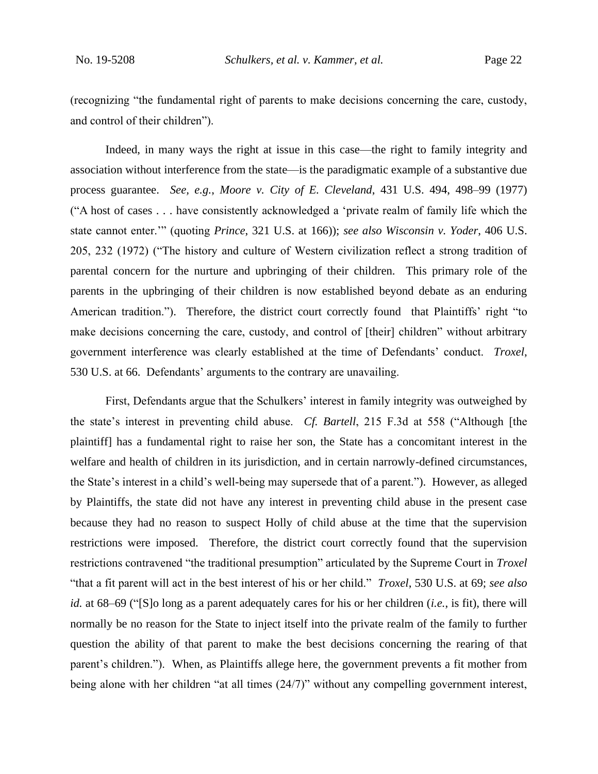(recognizing "the fundamental right of parents to make decisions concerning the care, custody, and control of their children").

Indeed, in many ways the right at issue in this case—the right to family integrity and association without interference from the state—is the paradigmatic example of a substantive due process guarantee. *See, e.g.*, *Moore v. City of E. Cleveland*, 431 U.S. 494, 498–99 (1977) ("A host of cases . . . have consistently acknowledged a 'private realm of family life which the state cannot enter.'" (quoting *Prince*, 321 U.S. at 166)); *see also Wisconsin v. Yoder*, 406 U.S. 205, 232 (1972) ("The history and culture of Western civilization reflect a strong tradition of parental concern for the nurture and upbringing of their children. This primary role of the parents in the upbringing of their children is now established beyond debate as an enduring American tradition."). Therefore, the district court correctly found that Plaintiffs' right "to make decisions concerning the care, custody, and control of [their] children" without arbitrary government interference was clearly established at the time of Defendants' conduct. *Troxel*, 530 U.S. at 66. Defendants' arguments to the contrary are unavailing.

First, Defendants argue that the Schulkers' interest in family integrity was outweighed by the state's interest in preventing child abuse. *Cf. Bartell*, 215 F.3d at 558 ("Although [the plaintiff] has a fundamental right to raise her son, the State has a concomitant interest in the welfare and health of children in its jurisdiction, and in certain narrowly-defined circumstances, the State's interest in a child's well-being may supersede that of a parent."). However, as alleged by Plaintiffs, the state did not have any interest in preventing child abuse in the present case because they had no reason to suspect Holly of child abuse at the time that the supervision restrictions were imposed. Therefore, the district court correctly found that the supervision restrictions contravened "the traditional presumption" articulated by the Supreme Court in *Troxel*  "that a fit parent will act in the best interest of his or her child." *Troxel*, 530 U.S. at 69; *see also id.* at 68–69 ("[S]o long as a parent adequately cares for his or her children (*i.e.*, is fit), there will normally be no reason for the State to inject itself into the private realm of the family to further question the ability of that parent to make the best decisions concerning the rearing of that parent's children."). When, as Plaintiffs allege here, the government prevents a fit mother from being alone with her children "at all times (24/7)" without any compelling government interest,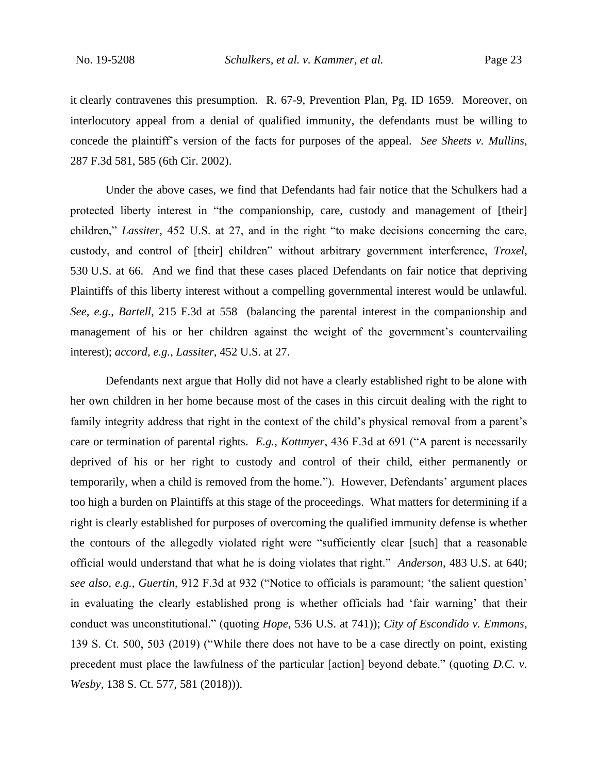it clearly contravenes this presumption. R. 67-9, Prevention Plan, Pg. ID 1659. Moreover, on interlocutory appeal from a denial of qualified immunity, the defendants must be willing to concede the plaintiff's version of the facts for purposes of the appeal. *See Sheets v. Mullins*, 287 F.3d 581, 585 (6th Cir. 2002).

Under the above cases, we find that Defendants had fair notice that the Schulkers had a protected liberty interest in "the companionship, care, custody and management of [their] children," *Lassiter*, 452 U.S. at 27, and in the right "to make decisions concerning the care, custody, and control of [their] children" without arbitrary government interference, *Troxel*, 530 U.S. at 66. And we find that these cases placed Defendants on fair notice that depriving Plaintiffs of this liberty interest without a compelling governmental interest would be unlawful. *See, e.g.*, *Bartell*, 215 F.3d at 558 (balancing the parental interest in the companionship and management of his or her children against the weight of the government's countervailing interest); *accord, e.g.*, *Lassiter*, 452 U.S. at 27.

Defendants next argue that Holly did not have a clearly established right to be alone with her own children in her home because most of the cases in this circuit dealing with the right to family integrity address that right in the context of the child's physical removal from a parent's care or termination of parental rights. *E.g.*, *Kottmyer*, 436 F.3d at 691 ("A parent is necessarily deprived of his or her right to custody and control of their child, either permanently or temporarily, when a child is removed from the home."). However, Defendants' argument places too high a burden on Plaintiffs at this stage of the proceedings. What matters for determining if a right is clearly established for purposes of overcoming the qualified immunity defense is whether the contours of the allegedly violated right were "sufficiently clear [such] that a reasonable official would understand that what he is doing violates that right." *Anderson*, 483 U.S. at 640; *see also, e.g.*, *Guertin*, 912 F.3d at 932 ("Notice to officials is paramount; 'the salient question' in evaluating the clearly established prong is whether officials had 'fair warning' that their conduct was unconstitutional." (quoting *Hope*, 536 U.S. at 741)); *City of Escondido v. Emmons*, 139 S. Ct. 500, 503 (2019) ("While there does not have to be a case directly on point, existing precedent must place the lawfulness of the particular [action] beyond debate." (quoting *D.C. v. Wesby*, 138 S. Ct. 577, 581 (2018))).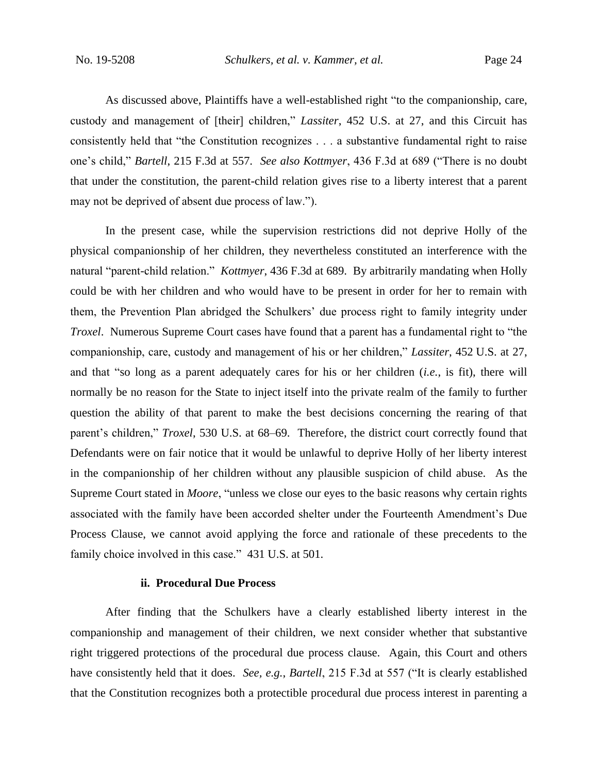As discussed above, Plaintiffs have a well-established right "to the companionship, care, custody and management of [their] children," *Lassiter*, 452 U.S. at 27, and this Circuit has consistently held that "the Constitution recognizes . . . a substantive fundamental right to raise one's child," *Bartell*, 215 F.3d at 557. *See also Kottmyer*, 436 F.3d at 689 ("There is no doubt that under the constitution, the parent-child relation gives rise to a liberty interest that a parent may not be deprived of absent due process of law.").

In the present case, while the supervision restrictions did not deprive Holly of the physical companionship of her children, they nevertheless constituted an interference with the natural "parent-child relation." *Kottmyer*, 436 F.3d at 689. By arbitrarily mandating when Holly could be with her children and who would have to be present in order for her to remain with them, the Prevention Plan abridged the Schulkers' due process right to family integrity under *Troxel*. Numerous Supreme Court cases have found that a parent has a fundamental right to "the companionship, care, custody and management of his or her children," *Lassiter*, 452 U.S. at 27, and that "so long as a parent adequately cares for his or her children (*i.e.*, is fit), there will normally be no reason for the State to inject itself into the private realm of the family to further question the ability of that parent to make the best decisions concerning the rearing of that parent's children," *Troxel*, 530 U.S. at 68–69. Therefore, the district court correctly found that Defendants were on fair notice that it would be unlawful to deprive Holly of her liberty interest in the companionship of her children without any plausible suspicion of child abuse. As the Supreme Court stated in *Moore*, "unless we close our eyes to the basic reasons why certain rights associated with the family have been accorded shelter under the Fourteenth Amendment's Due Process Clause, we cannot avoid applying the force and rationale of these precedents to the family choice involved in this case." 431 U.S. at 501.

### **ii. Procedural Due Process**

After finding that the Schulkers have a clearly established liberty interest in the companionship and management of their children, we next consider whether that substantive right triggered protections of the procedural due process clause. Again, this Court and others have consistently held that it does. *See, e.g.*, *Bartell*, 215 F.3d at 557 ("It is clearly established that the Constitution recognizes both a protectible procedural due process interest in parenting a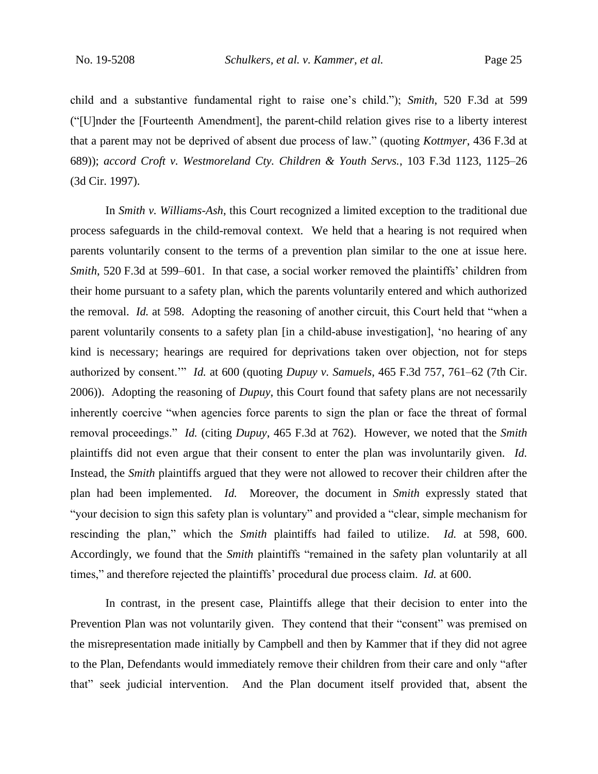child and a substantive fundamental right to raise one's child."); *Smith*, 520 F.3d at 599 ("[U]nder the [Fourteenth Amendment], the parent-child relation gives rise to a liberty interest that a parent may not be deprived of absent due process of law." (quoting *Kottmyer*, 436 F.3d at 689)); *accord Croft v. Westmoreland Cty. Children & Youth Servs.*, 103 F.3d 1123, 1125–26 (3d Cir. 1997).

In *Smith v. Williams-Ash*, this Court recognized a limited exception to the traditional due process safeguards in the child-removal context. We held that a hearing is not required when parents voluntarily consent to the terms of a prevention plan similar to the one at issue here. *Smith*, 520 F.3d at 599–601. In that case, a social worker removed the plaintiffs' children from their home pursuant to a safety plan, which the parents voluntarily entered and which authorized the removal. *Id.* at 598. Adopting the reasoning of another circuit, this Court held that "when a parent voluntarily consents to a safety plan [in a child-abuse investigation], 'no hearing of any kind is necessary; hearings are required for deprivations taken over objection, not for steps authorized by consent.'" *Id.* at 600 (quoting *Dupuy v. Samuels*, 465 F.3d 757, 761–62 (7th Cir. 2006)). Adopting the reasoning of *Dupuy*, this Court found that safety plans are not necessarily inherently coercive "when agencies force parents to sign the plan or face the threat of formal removal proceedings." *Id.* (citing *Dupuy*, 465 F.3d at 762). However, we noted that the *Smith* plaintiffs did not even argue that their consent to enter the plan was involuntarily given. *Id.* Instead, the *Smith* plaintiffs argued that they were not allowed to recover their children after the plan had been implemented. *Id.* Moreover, the document in *Smith* expressly stated that "your decision to sign this safety plan is voluntary" and provided a "clear, simple mechanism for rescinding the plan," which the *Smith* plaintiffs had failed to utilize. *Id.* at 598, 600. Accordingly, we found that the *Smith* plaintiffs "remained in the safety plan voluntarily at all times," and therefore rejected the plaintiffs' procedural due process claim. *Id.* at 600.

In contrast, in the present case, Plaintiffs allege that their decision to enter into the Prevention Plan was not voluntarily given. They contend that their "consent" was premised on the misrepresentation made initially by Campbell and then by Kammer that if they did not agree to the Plan, Defendants would immediately remove their children from their care and only "after that" seek judicial intervention. And the Plan document itself provided that, absent the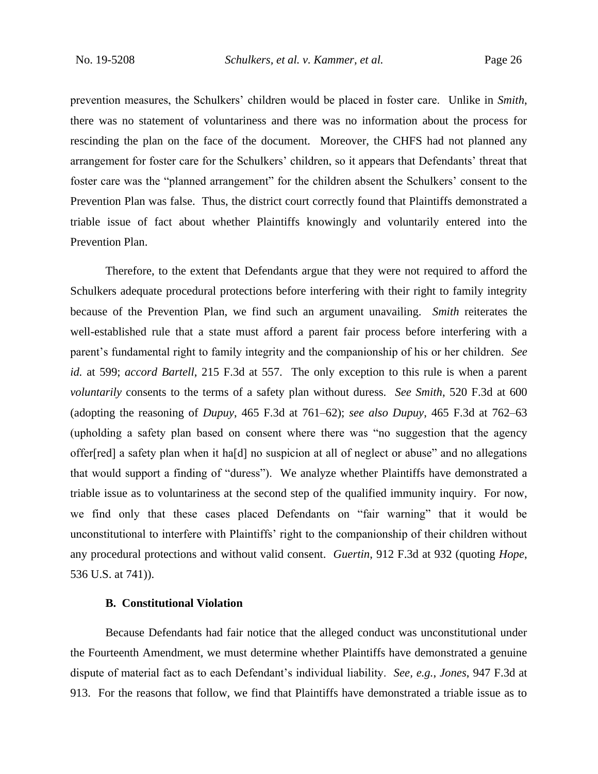prevention measures, the Schulkers' children would be placed in foster care. Unlike in *Smith*, there was no statement of voluntariness and there was no information about the process for rescinding the plan on the face of the document. Moreover, the CHFS had not planned any arrangement for foster care for the Schulkers' children, so it appears that Defendants' threat that foster care was the "planned arrangement" for the children absent the Schulkers' consent to the Prevention Plan was false. Thus, the district court correctly found that Plaintiffs demonstrated a triable issue of fact about whether Plaintiffs knowingly and voluntarily entered into the Prevention Plan.

Therefore, to the extent that Defendants argue that they were not required to afford the Schulkers adequate procedural protections before interfering with their right to family integrity because of the Prevention Plan, we find such an argument unavailing. *Smith* reiterates the well-established rule that a state must afford a parent fair process before interfering with a parent's fundamental right to family integrity and the companionship of his or her children. *See id.* at 599; *accord Bartell*, 215 F.3d at 557. The only exception to this rule is when a parent *voluntarily* consents to the terms of a safety plan without duress. *See Smith*, 520 F.3d at 600 (adopting the reasoning of *Dupuy*, 465 F.3d at 761–62); *see also Dupuy*, 465 F.3d at 762–63 (upholding a safety plan based on consent where there was "no suggestion that the agency offer[red] a safety plan when it ha[d] no suspicion at all of neglect or abuse" and no allegations that would support a finding of "duress"). We analyze whether Plaintiffs have demonstrated a triable issue as to voluntariness at the second step of the qualified immunity inquiry. For now, we find only that these cases placed Defendants on "fair warning" that it would be unconstitutional to interfere with Plaintiffs' right to the companionship of their children without any procedural protections and without valid consent. *Guertin*, 912 F.3d at 932 (quoting *Hope*, 536 U.S. at 741)).

### **B. Constitutional Violation**

Because Defendants had fair notice that the alleged conduct was unconstitutional under the Fourteenth Amendment, we must determine whether Plaintiffs have demonstrated a genuine dispute of material fact as to each Defendant's individual liability. *See, e.g.*, *Jones*, 947 F.3d at 913. For the reasons that follow, we find that Plaintiffs have demonstrated a triable issue as to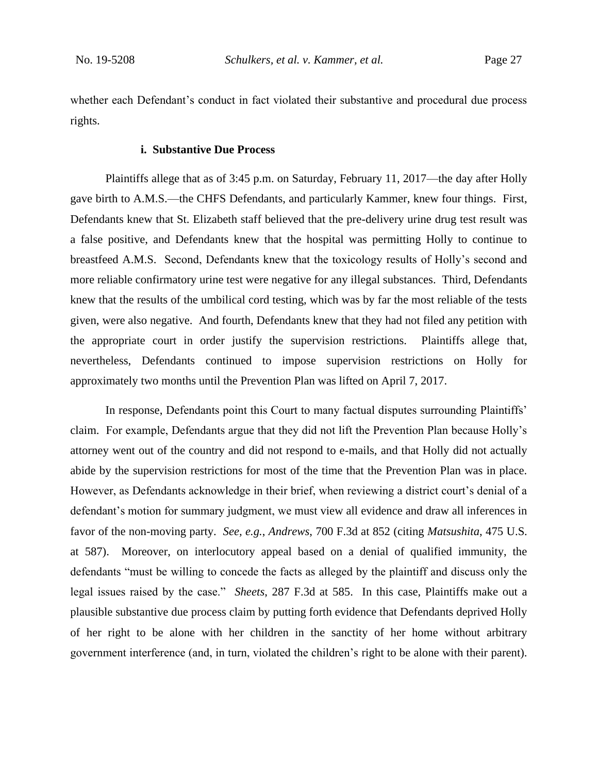whether each Defendant's conduct in fact violated their substantive and procedural due process rights.

### **i. Substantive Due Process**

Plaintiffs allege that as of 3:45 p.m. on Saturday, February 11, 2017—the day after Holly gave birth to A.M.S.—the CHFS Defendants, and particularly Kammer, knew four things. First, Defendants knew that St. Elizabeth staff believed that the pre-delivery urine drug test result was a false positive, and Defendants knew that the hospital was permitting Holly to continue to breastfeed A.M.S. Second, Defendants knew that the toxicology results of Holly's second and more reliable confirmatory urine test were negative for any illegal substances. Third, Defendants knew that the results of the umbilical cord testing, which was by far the most reliable of the tests given, were also negative. And fourth, Defendants knew that they had not filed any petition with the appropriate court in order justify the supervision restrictions. Plaintiffs allege that, nevertheless, Defendants continued to impose supervision restrictions on Holly for approximately two months until the Prevention Plan was lifted on April 7, 2017.

In response, Defendants point this Court to many factual disputes surrounding Plaintiffs' claim. For example, Defendants argue that they did not lift the Prevention Plan because Holly's attorney went out of the country and did not respond to e-mails, and that Holly did not actually abide by the supervision restrictions for most of the time that the Prevention Plan was in place. However, as Defendants acknowledge in their brief, when reviewing a district court's denial of a defendant's motion for summary judgment, we must view all evidence and draw all inferences in favor of the non-moving party. *See, e.g.*, *Andrews*, 700 F.3d at 852 (citing *Matsushita*, 475 U.S. at 587). Moreover, on interlocutory appeal based on a denial of qualified immunity, the defendants "must be willing to concede the facts as alleged by the plaintiff and discuss only the legal issues raised by the case." *Sheets*, 287 F.3d at 585. In this case, Plaintiffs make out a plausible substantive due process claim by putting forth evidence that Defendants deprived Holly of her right to be alone with her children in the sanctity of her home without arbitrary government interference (and, in turn, violated the children's right to be alone with their parent).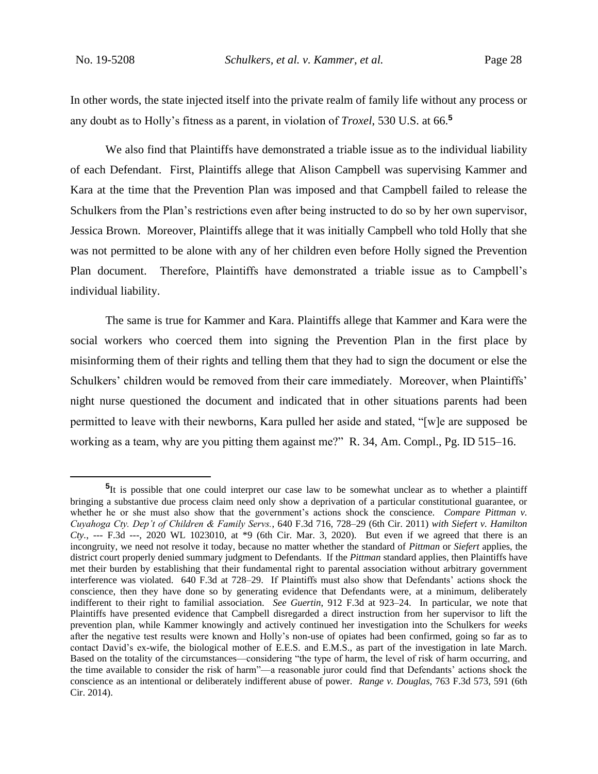In other words, the state injected itself into the private realm of family life without any process or any doubt as to Holly's fitness as a parent, in violation of *Troxel*, 530 U.S. at 66.**<sup>5</sup>**

We also find that Plaintiffs have demonstrated a triable issue as to the individual liability of each Defendant. First, Plaintiffs allege that Alison Campbell was supervising Kammer and Kara at the time that the Prevention Plan was imposed and that Campbell failed to release the Schulkers from the Plan's restrictions even after being instructed to do so by her own supervisor, Jessica Brown. Moreover, Plaintiffs allege that it was initially Campbell who told Holly that she was not permitted to be alone with any of her children even before Holly signed the Prevention Plan document. Therefore, Plaintiffs have demonstrated a triable issue as to Campbell's individual liability.

The same is true for Kammer and Kara. Plaintiffs allege that Kammer and Kara were the social workers who coerced them into signing the Prevention Plan in the first place by misinforming them of their rights and telling them that they had to sign the document or else the Schulkers' children would be removed from their care immediately. Moreover, when Plaintiffs' night nurse questioned the document and indicated that in other situations parents had been permitted to leave with their newborns, Kara pulled her aside and stated, "[w]e are supposed be working as a team, why are you pitting them against me?" R. 34, Am. Compl., Pg. ID 515–16.

<sup>&</sup>lt;sup>5</sup>It is possible that one could interpret our case law to be somewhat unclear as to whether a plaintiff bringing a substantive due process claim need only show a deprivation of a particular constitutional guarantee, or whether he or she must also show that the government's actions shock the conscience. *Compare Pittman v. Cuyahoga Cty. Dep't of Children & Family Servs.*, 640 F.3d 716, 728–29 (6th Cir. 2011) *with Siefert v. Hamilton Cty.*, --- F.3d ---, 2020 WL 1023010, at \*9 (6th Cir. Mar. 3, 2020). But even if we agreed that there is an incongruity, we need not resolve it today, because no matter whether the standard of *Pittman* or *Siefert* applies, the district court properly denied summary judgment to Defendants. If the *Pittman* standard applies, then Plaintiffs have met their burden by establishing that their fundamental right to parental association without arbitrary government interference was violated. 640 F.3d at 728–29. If Plaintiffs must also show that Defendants' actions shock the conscience, then they have done so by generating evidence that Defendants were, at a minimum, deliberately indifferent to their right to familial association. *See Guertin*, 912 F.3d at 923–24. In particular, we note that Plaintiffs have presented evidence that Campbell disregarded a direct instruction from her supervisor to lift the prevention plan, while Kammer knowingly and actively continued her investigation into the Schulkers for *weeks*  after the negative test results were known and Holly's non-use of opiates had been confirmed, going so far as to contact David's ex-wife, the biological mother of E.E.S. and E.M.S., as part of the investigation in late March. Based on the totality of the circumstances––considering "the type of harm, the level of risk of harm occurring, and the time available to consider the risk of harm"––a reasonable juror could find that Defendants' actions shock the conscience as an intentional or deliberately indifferent abuse of power. *Range v. Douglas*, 763 F.3d 573, 591 (6th Cir. 2014).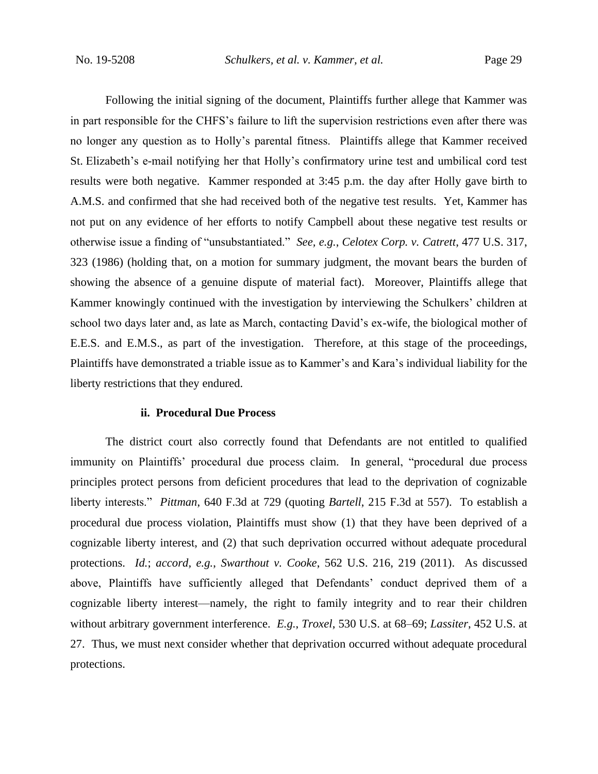Following the initial signing of the document, Plaintiffs further allege that Kammer was in part responsible for the CHFS's failure to lift the supervision restrictions even after there was no longer any question as to Holly's parental fitness. Plaintiffs allege that Kammer received St. Elizabeth's e-mail notifying her that Holly's confirmatory urine test and umbilical cord test results were both negative. Kammer responded at 3:45 p.m. the day after Holly gave birth to A.M.S. and confirmed that she had received both of the negative test results. Yet, Kammer has not put on any evidence of her efforts to notify Campbell about these negative test results or otherwise issue a finding of "unsubstantiated." *See, e.g.*, *Celotex Corp. v. Catrett*, 477 U.S. 317, 323 (1986) (holding that, on a motion for summary judgment, the movant bears the burden of showing the absence of a genuine dispute of material fact). Moreover, Plaintiffs allege that Kammer knowingly continued with the investigation by interviewing the Schulkers' children at school two days later and, as late as March, contacting David's ex-wife, the biological mother of E.E.S. and E.M.S., as part of the investigation. Therefore, at this stage of the proceedings, Plaintiffs have demonstrated a triable issue as to Kammer's and Kara's individual liability for the liberty restrictions that they endured.

#### **ii. Procedural Due Process**

The district court also correctly found that Defendants are not entitled to qualified immunity on Plaintiffs' procedural due process claim. In general, "procedural due process principles protect persons from deficient procedures that lead to the deprivation of cognizable liberty interests." *Pittman*, 640 F.3d at 729 (quoting *Bartell*, 215 F.3d at 557). To establish a procedural due process violation, Plaintiffs must show (1) that they have been deprived of a cognizable liberty interest, and (2) that such deprivation occurred without adequate procedural protections. *Id.*; *accord, e.g.*, *Swarthout v. Cooke*, 562 U.S. 216, 219 (2011). As discussed above, Plaintiffs have sufficiently alleged that Defendants' conduct deprived them of a cognizable liberty interest—namely, the right to family integrity and to rear their children without arbitrary government interference. *E.g.*, *Troxel*, 530 U.S. at 68–69; *Lassiter*, 452 U.S. at 27. Thus, we must next consider whether that deprivation occurred without adequate procedural protections.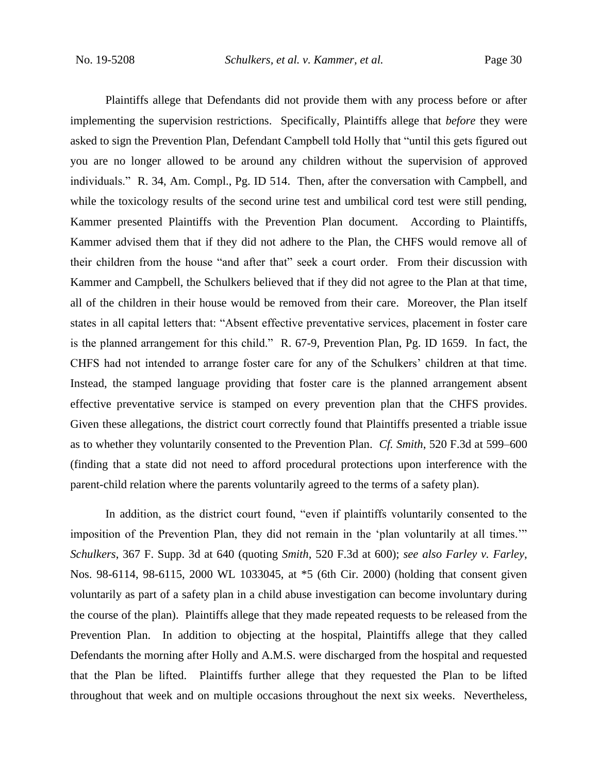Plaintiffs allege that Defendants did not provide them with any process before or after implementing the supervision restrictions. Specifically, Plaintiffs allege that *before* they were asked to sign the Prevention Plan, Defendant Campbell told Holly that "until this gets figured out you are no longer allowed to be around any children without the supervision of approved individuals." R. 34, Am. Compl., Pg. ID 514. Then, after the conversation with Campbell, and while the toxicology results of the second urine test and umbilical cord test were still pending, Kammer presented Plaintiffs with the Prevention Plan document. According to Plaintiffs, Kammer advised them that if they did not adhere to the Plan, the CHFS would remove all of their children from the house "and after that" seek a court order. From their discussion with Kammer and Campbell, the Schulkers believed that if they did not agree to the Plan at that time, all of the children in their house would be removed from their care. Moreover, the Plan itself states in all capital letters that: "Absent effective preventative services, placement in foster care is the planned arrangement for this child." R. 67-9, Prevention Plan, Pg. ID 1659. In fact, the CHFS had not intended to arrange foster care for any of the Schulkers' children at that time. Instead, the stamped language providing that foster care is the planned arrangement absent effective preventative service is stamped on every prevention plan that the CHFS provides. Given these allegations, the district court correctly found that Plaintiffs presented a triable issue as to whether they voluntarily consented to the Prevention Plan. *Cf. Smith*, 520 F.3d at 599–600 (finding that a state did not need to afford procedural protections upon interference with the parent-child relation where the parents voluntarily agreed to the terms of a safety plan).

In addition, as the district court found, "even if plaintiffs voluntarily consented to the imposition of the Prevention Plan, they did not remain in the 'plan voluntarily at all times.'" *Schulkers*, 367 F. Supp. 3d at 640 (quoting *Smith*, 520 F.3d at 600); *see also Farley v. Farley*, Nos. 98-6114, 98-6115, 2000 WL 1033045, at \*5 (6th Cir. 2000) (holding that consent given voluntarily as part of a safety plan in a child abuse investigation can become involuntary during the course of the plan). Plaintiffs allege that they made repeated requests to be released from the Prevention Plan. In addition to objecting at the hospital, Plaintiffs allege that they called Defendants the morning after Holly and A.M.S. were discharged from the hospital and requested that the Plan be lifted. Plaintiffs further allege that they requested the Plan to be lifted throughout that week and on multiple occasions throughout the next six weeks. Nevertheless,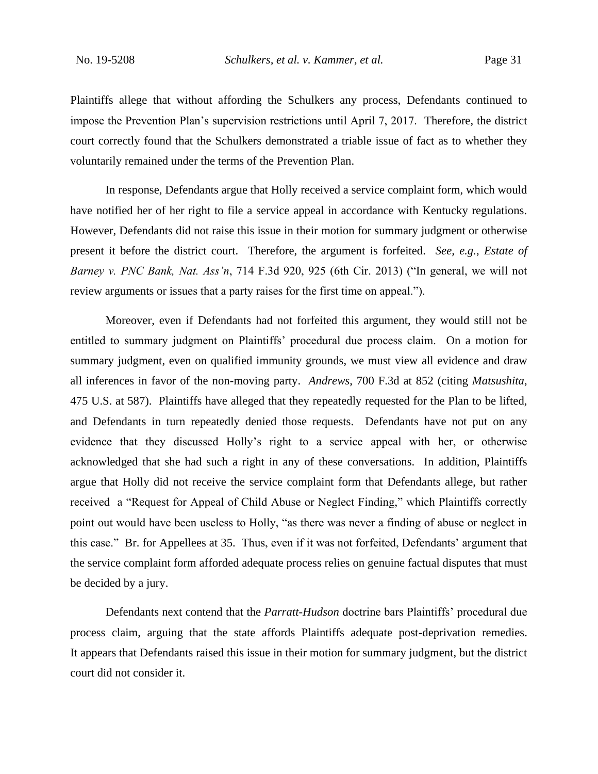Plaintiffs allege that without affording the Schulkers any process, Defendants continued to impose the Prevention Plan's supervision restrictions until April 7, 2017. Therefore, the district court correctly found that the Schulkers demonstrated a triable issue of fact as to whether they voluntarily remained under the terms of the Prevention Plan.

In response, Defendants argue that Holly received a service complaint form, which would have notified her of her right to file a service appeal in accordance with Kentucky regulations. However, Defendants did not raise this issue in their motion for summary judgment or otherwise present it before the district court. Therefore, the argument is forfeited. *See, e.g.*, *Estate of Barney v. PNC Bank, Nat. Ass'n*, 714 F.3d 920, 925 (6th Cir. 2013) ("In general, we will not review arguments or issues that a party raises for the first time on appeal.").

Moreover, even if Defendants had not forfeited this argument, they would still not be entitled to summary judgment on Plaintiffs' procedural due process claim. On a motion for summary judgment, even on qualified immunity grounds, we must view all evidence and draw all inferences in favor of the non-moving party. *Andrews*, 700 F.3d at 852 (citing *Matsushita*, 475 U.S. at 587). Plaintiffs have alleged that they repeatedly requested for the Plan to be lifted, and Defendants in turn repeatedly denied those requests. Defendants have not put on any evidence that they discussed Holly's right to a service appeal with her, or otherwise acknowledged that she had such a right in any of these conversations. In addition, Plaintiffs argue that Holly did not receive the service complaint form that Defendants allege, but rather received a "Request for Appeal of Child Abuse or Neglect Finding," which Plaintiffs correctly point out would have been useless to Holly, "as there was never a finding of abuse or neglect in this case." Br. for Appellees at 35. Thus, even if it was not forfeited, Defendants' argument that the service complaint form afforded adequate process relies on genuine factual disputes that must be decided by a jury.

Defendants next contend that the *Parratt*-*Hudson* doctrine bars Plaintiffs' procedural due process claim, arguing that the state affords Plaintiffs adequate post-deprivation remedies. It appears that Defendants raised this issue in their motion for summary judgment, but the district court did not consider it.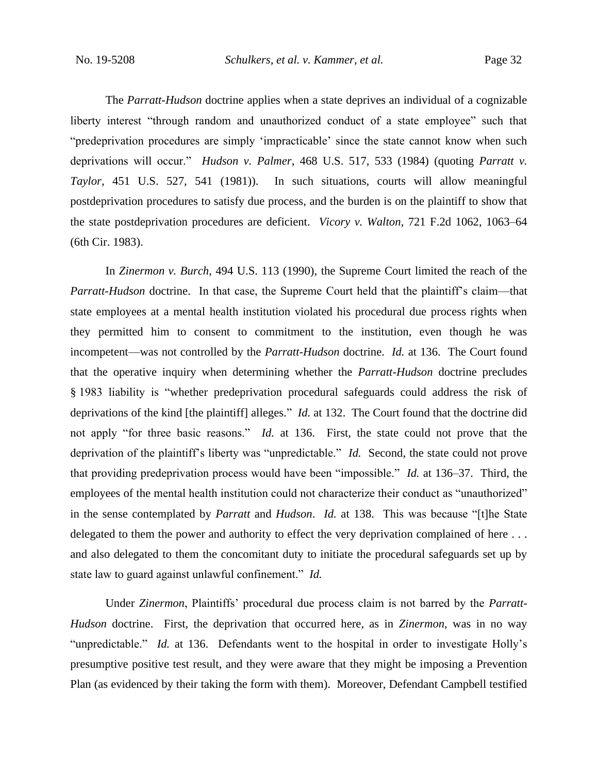The *Parratt*-*Hudson* doctrine applies when a state deprives an individual of a cognizable liberty interest "through random and unauthorized conduct of a state employee" such that "predeprivation procedures are simply 'impracticable' since the state cannot know when such deprivations will occur." *Hudson v. Palmer*, 468 U.S. 517, 533 (1984) (quoting *Parratt v. Taylor*, 451 U.S. 527, 541 (1981)). In such situations, courts will allow meaningful postdeprivation procedures to satisfy due process, and the burden is on the plaintiff to show that the state postdeprivation procedures are deficient. *Vicory v. Walton*, 721 F.2d 1062, 1063–64 (6th Cir. 1983).

In *Zinermon v. Burch*, 494 U.S. 113 (1990), the Supreme Court limited the reach of the *Parratt*-*Hudson* doctrine. In that case, the Supreme Court held that the plaintiff's claim—that state employees at a mental health institution violated his procedural due process rights when they permitted him to consent to commitment to the institution, even though he was incompetent—was not controlled by the *Parratt*-*Hudson* doctrine. *Id.* at 136. The Court found that the operative inquiry when determining whether the *Parratt*-*Hudson* doctrine precludes § 1983 liability is "whether predeprivation procedural safeguards could address the risk of deprivations of the kind [the plaintiff] alleges." *Id.* at 132. The Court found that the doctrine did not apply "for three basic reasons." *Id.* at 136. First, the state could not prove that the deprivation of the plaintiff's liberty was "unpredictable." *Id.* Second, the state could not prove that providing predeprivation process would have been "impossible." *Id.* at 136–37. Third, the employees of the mental health institution could not characterize their conduct as "unauthorized" in the sense contemplated by *Parratt* and *Hudson*. *Id.* at 138. This was because "[t]he State delegated to them the power and authority to effect the very deprivation complained of here ... and also delegated to them the concomitant duty to initiate the procedural safeguards set up by state law to guard against unlawful confinement." *Id.*

Under *Zinermon*, Plaintiffs' procedural due process claim is not barred by the *Parratt*-*Hudson* doctrine. First, the deprivation that occurred here, as in *Zinermon*, was in no way "unpredictable." *Id.* at 136. Defendants went to the hospital in order to investigate Holly's presumptive positive test result, and they were aware that they might be imposing a Prevention Plan (as evidenced by their taking the form with them). Moreover, Defendant Campbell testified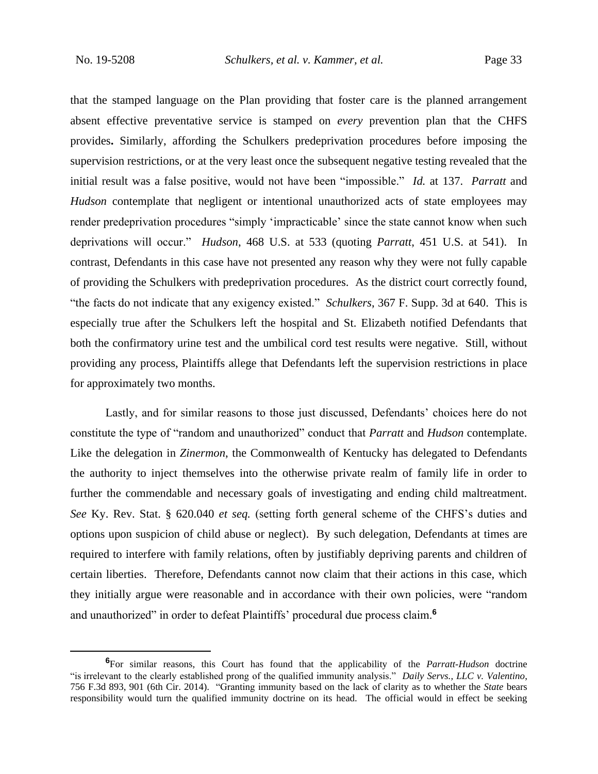that the stamped language on the Plan providing that foster care is the planned arrangement absent effective preventative service is stamped on *every* prevention plan that the CHFS provides**.** Similarly, affording the Schulkers predeprivation procedures before imposing the supervision restrictions, or at the very least once the subsequent negative testing revealed that the initial result was a false positive, would not have been "impossible." *Id.* at 137. *Parratt* and *Hudson* contemplate that negligent or intentional unauthorized acts of state employees may render predeprivation procedures "simply 'impracticable' since the state cannot know when such deprivations will occur." *Hudson*, 468 U.S. at 533 (quoting *Parratt*, 451 U.S. at 541). In contrast, Defendants in this case have not presented any reason why they were not fully capable of providing the Schulkers with predeprivation procedures. As the district court correctly found, "the facts do not indicate that any exigency existed." *Schulkers*, 367 F. Supp. 3d at 640. This is especially true after the Schulkers left the hospital and St. Elizabeth notified Defendants that both the confirmatory urine test and the umbilical cord test results were negative. Still, without providing any process, Plaintiffs allege that Defendants left the supervision restrictions in place for approximately two months.

Lastly, and for similar reasons to those just discussed, Defendants' choices here do not constitute the type of "random and unauthorized" conduct that *Parratt* and *Hudson* contemplate. Like the delegation in *Zinermon*, the Commonwealth of Kentucky has delegated to Defendants the authority to inject themselves into the otherwise private realm of family life in order to further the commendable and necessary goals of investigating and ending child maltreatment. *See* Ky. Rev. Stat. § 620.040 *et seq.* (setting forth general scheme of the CHFS's duties and options upon suspicion of child abuse or neglect). By such delegation, Defendants at times are required to interfere with family relations, often by justifiably depriving parents and children of certain liberties. Therefore, Defendants cannot now claim that their actions in this case, which they initially argue were reasonable and in accordance with their own policies, were "random and unauthorized" in order to defeat Plaintiffs' procedural due process claim.**<sup>6</sup>**

**<sup>6</sup>**For similar reasons, this Court has found that the applicability of the *Parratt*-*Hudson* doctrine "is irrelevant to the clearly established prong of the qualified immunity analysis." *Daily Servs., LLC v. Valentino*, 756 F.3d 893, 901 (6th Cir. 2014). "Granting immunity based on the lack of clarity as to whether the *State* bears responsibility would turn the qualified immunity doctrine on its head. The official would in effect be seeking